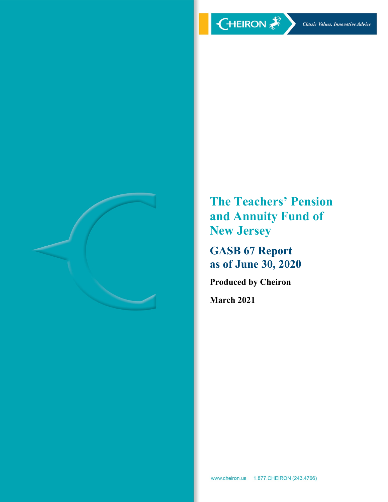

**The Teachers' Pension and Annuity Fund of New Jersey** 

**GASB 67 Report as of June 30, 2020** 

**Produced by Cheiron** 

**March 2021**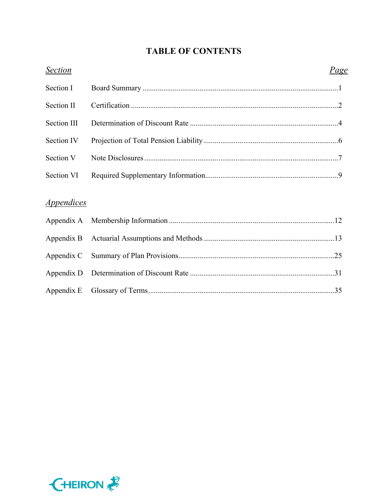# **TABLE OF CONTENTS**

| <b>Section</b>                  | Page |
|---------------------------------|------|
| Section I                       |      |
| Section II                      |      |
| <b>Section III</b>              |      |
| Section IV                      |      |
| Section V                       |      |
| Section VI                      |      |
|                                 |      |
| <i><u><b>Appendices</b></u></i> |      |
| Appendix A                      |      |
| Appendix B                      |      |
| Appendix C                      |      |
| Appendix D                      |      |
| Appendix E                      |      |

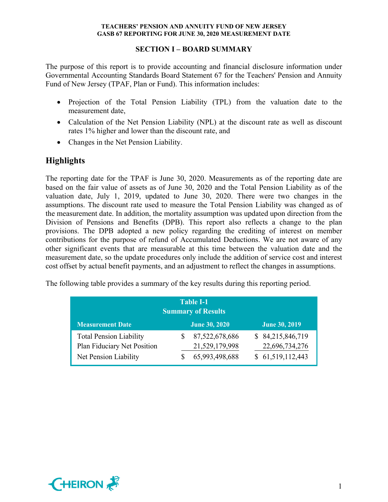## **SECTION I – BOARD SUMMARY**

The purpose of this report is to provide accounting and financial disclosure information under Governmental Accounting Standards Board Statement 67 for the Teachers' Pension and Annuity Fund of New Jersey (TPAF, Plan or Fund). This information includes:

- Projection of the Total Pension Liability (TPL) from the valuation date to the measurement date,
- Calculation of the Net Pension Liability (NPL) at the discount rate as well as discount rates 1% higher and lower than the discount rate, and
- Changes in the Net Pension Liability.

# **Highlights**

The reporting date for the TPAF is June 30, 2020. Measurements as of the reporting date are based on the fair value of assets as of June 30, 2020 and the Total Pension Liability as of the valuation date, July 1, 2019, updated to June 30, 2020. There were two changes in the assumptions. The discount rate used to measure the Total Pension Liability was changed as of the measurement date. In addition, the mortality assumption was updated upon direction from the Division of Pensions and Benefits (DPB). This report also reflects a change to the plan provisions. The DPB adopted a new policy regarding the crediting of interest on member contributions for the purpose of refund of Accumulated Deductions. We are not aware of any other significant events that are measurable at this time between the valuation date and the measurement date, so the update procedures only include the addition of service cost and interest cost offset by actual benefit payments, and an adjustment to reflect the changes in assumptions.

The following table provides a summary of the key results during this reporting period.

| <b>Table I-1</b><br><b>Summary of Results</b>                                          |  |                                                    |  |                                                        |  |  |  |
|----------------------------------------------------------------------------------------|--|----------------------------------------------------|--|--------------------------------------------------------|--|--|--|
| <b>Measurement Date</b>                                                                |  | <b>June 30, 2020</b>                               |  | <b>June 30, 2019</b>                                   |  |  |  |
| <b>Total Pension Liability</b><br>Plan Fiduciary Net Position<br>Net Pension Liability |  | 87,522,678,686<br>21,529,179,998<br>65,993,498,688 |  | \$84,215,846,719<br>22,696,734,276<br>\$61,519,112,443 |  |  |  |

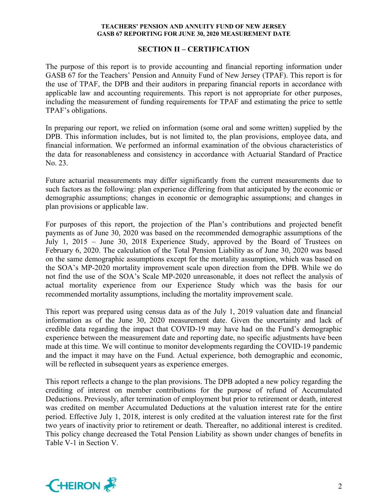## **SECTION II – CERTIFICATION**

The purpose of this report is to provide accounting and financial reporting information under GASB 67 for the Teachers' Pension and Annuity Fund of New Jersey (TPAF). This report is for the use of TPAF, the DPB and their auditors in preparing financial reports in accordance with applicable law and accounting requirements. This report is not appropriate for other purposes, including the measurement of funding requirements for TPAF and estimating the price to settle TPAF's obligations.

In preparing our report, we relied on information (some oral and some written) supplied by the DPB. This information includes, but is not limited to, the plan provisions, employee data, and financial information. We performed an informal examination of the obvious characteristics of the data for reasonableness and consistency in accordance with Actuarial Standard of Practice No. 23.

Future actuarial measurements may differ significantly from the current measurements due to such factors as the following: plan experience differing from that anticipated by the economic or demographic assumptions; changes in economic or demographic assumptions; and changes in plan provisions or applicable law.

For purposes of this report, the projection of the Plan's contributions and projected benefit payments as of June 30, 2020 was based on the recommended demographic assumptions of the July 1, 2015 – June 30, 2018 Experience Study, approved by the Board of Trustees on February 6, 2020. The calculation of the Total Pension Liability as of June 30, 2020 was based on the same demographic assumptions except for the mortality assumption, which was based on the SOA's MP-2020 mortality improvement scale upon direction from the DPB. While we do not find the use of the SOA's Scale MP-2020 unreasonable, it does not reflect the analysis of actual mortality experience from our Experience Study which was the basis for our recommended mortality assumptions, including the mortality improvement scale.

This report was prepared using census data as of the July 1, 2019 valuation date and financial information as of the June 30, 2020 measurement date. Given the uncertainty and lack of credible data regarding the impact that COVID-19 may have had on the Fund's demographic experience between the measurement date and reporting date, no specific adjustments have been made at this time. We will continue to monitor developments regarding the COVID-19 pandemic and the impact it may have on the Fund. Actual experience, both demographic and economic, will be reflected in subsequent years as experience emerges.

This report reflects a change to the plan provisions. The DPB adopted a new policy regarding the crediting of interest on member contributions for the purpose of refund of Accumulated Deductions. Previously, after termination of employment but prior to retirement or death, interest was credited on member Accumulated Deductions at the valuation interest rate for the entire period. Effective July 1, 2018, interest is only credited at the valuation interest rate for the first two years of inactivity prior to retirement or death. Thereafter, no additional interest is credited. This policy change decreased the Total Pension Liability as shown under changes of benefits in Table V-1 in Section V.

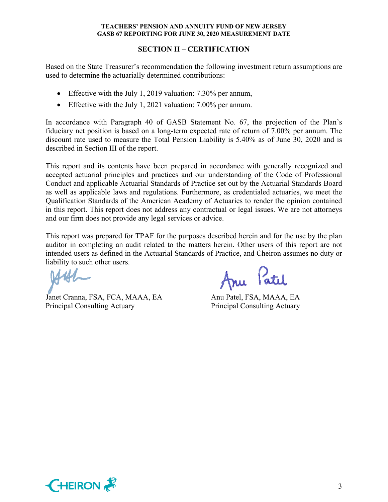## **SECTION II – CERTIFICATION**

Based on the State Treasurer's recommendation the following investment return assumptions are used to determine the actuarially determined contributions:

- Effective with the July 1, 2019 valuation: 7.30% per annum,
- Effective with the July 1, 2021 valuation: 7.00% per annum.

In accordance with Paragraph 40 of GASB Statement No. 67, the projection of the Plan's fiduciary net position is based on a long-term expected rate of return of 7.00% per annum. The discount rate used to measure the Total Pension Liability is 5.40% as of June 30, 2020 and is described in Section III of the report.

This report and its contents have been prepared in accordance with generally recognized and accepted actuarial principles and practices and our understanding of the Code of Professional Conduct and applicable Actuarial Standards of Practice set out by the Actuarial Standards Board as well as applicable laws and regulations. Furthermore, as credentialed actuaries, we meet the Qualification Standards of the American Academy of Actuaries to render the opinion contained in this report. This report does not address any contractual or legal issues. We are not attorneys and our firm does not provide any legal services or advice.

This report was prepared for TPAF for the purposes described herein and for the use by the plan auditor in completing an audit related to the matters herein. Other users of this report are not intended users as defined in the Actuarial Standards of Practice, and Cheiron assumes no duty or liability to such other users.

Janet Cranna, FSA, FCA, MAAA, EA Anu Patel, FSA, MAAA, EA Principal Consulting Actuary Principal Consulting Actuary

Patel

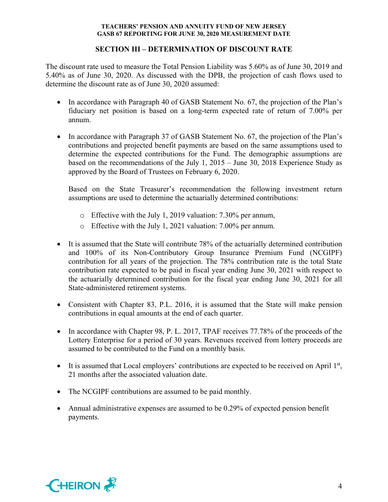## **SECTION III – DETERMINATION OF DISCOUNT RATE**

The discount rate used to measure the Total Pension Liability was 5.60% as of June 30, 2019 and 5.40% as of June 30, 2020. As discussed with the DPB, the projection of cash flows used to determine the discount rate as of June 30, 2020 assumed:

- In accordance with Paragraph 40 of GASB Statement No. 67, the projection of the Plan's fiduciary net position is based on a long-term expected rate of return of 7.00% per annum.
- In accordance with Paragraph 37 of GASB Statement No. 67, the projection of the Plan's contributions and projected benefit payments are based on the same assumptions used to determine the expected contributions for the Fund. The demographic assumptions are based on the recommendations of the July 1, 2015 – June 30, 2018 Experience Study as approved by the Board of Trustees on February 6, 2020.

Based on the State Treasurer's recommendation the following investment return assumptions are used to determine the actuarially determined contributions:

- o Effective with the July 1, 2019 valuation: 7.30% per annum,
- o Effective with the July 1, 2021 valuation: 7.00% per annum.
- It is assumed that the State will contribute 78% of the actuarially determined contribution and 100% of its Non-Contributory Group Insurance Premium Fund (NCGIPF) contribution for all years of the projection. The 78% contribution rate is the total State contribution rate expected to be paid in fiscal year ending June 30, 2021 with respect to the actuarially determined contribution for the fiscal year ending June 30, 2021 for all State-administered retirement systems.
- Consistent with Chapter 83, P.L. 2016, it is assumed that the State will make pension contributions in equal amounts at the end of each quarter.
- In accordance with Chapter 98, P. L. 2017, TPAF receives 77.78% of the proceeds of the Lottery Enterprise for a period of 30 years. Revenues received from lottery proceeds are assumed to be contributed to the Fund on a monthly basis.
- It is assumed that Local employers' contributions are expected to be received on April  $1<sup>st</sup>$ , 21 months after the associated valuation date.
- The NCGIPF contributions are assumed to be paid monthly.
- Annual administrative expenses are assumed to be 0.29% of expected pension benefit payments.

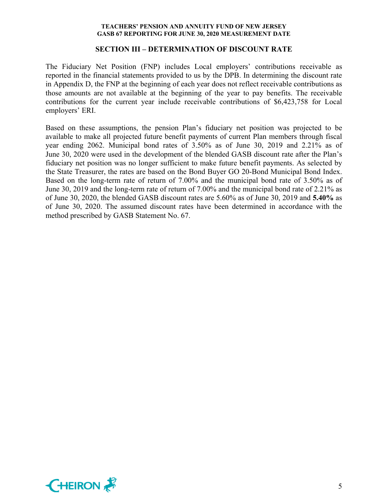#### **SECTION III – DETERMINATION OF DISCOUNT RATE**

The Fiduciary Net Position (FNP) includes Local employers' contributions receivable as reported in the financial statements provided to us by the DPB. In determining the discount rate in Appendix D, the FNP at the beginning of each year does not reflect receivable contributions as those amounts are not available at the beginning of the year to pay benefits. The receivable contributions for the current year include receivable contributions of \$6,423,758 for Local employers' ERI.

Based on these assumptions, the pension Plan's fiduciary net position was projected to be available to make all projected future benefit payments of current Plan members through fiscal year ending 2062. Municipal bond rates of 3.50% as of June 30, 2019 and 2.21% as of June 30, 2020 were used in the development of the blended GASB discount rate after the Plan's fiduciary net position was no longer sufficient to make future benefit payments. As selected by the State Treasurer, the rates are based on the Bond Buyer GO 20-Bond Municipal Bond Index. Based on the long-term rate of return of 7.00% and the municipal bond rate of 3.50% as of June 30, 2019 and the long-term rate of return of 7.00% and the municipal bond rate of 2.21% as of June 30, 2020, the blended GASB discount rates are 5.60% as of June 30, 2019 and **5.40%** as of June 30, 2020. The assumed discount rates have been determined in accordance with the method prescribed by GASB Statement No. 67.

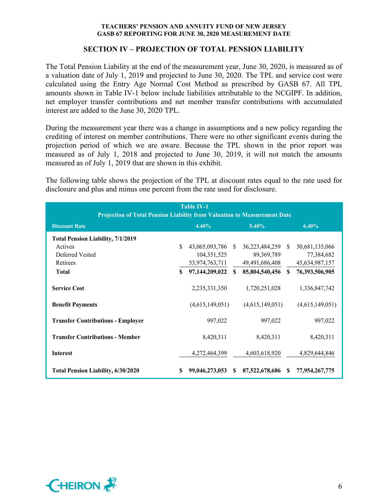### **SECTION IV – PROJECTION OF TOTAL PENSION LIABILITY**

The Total Pension Liability at the end of the measurement year, June 30, 2020, is measured as of a valuation date of July 1, 2019 and projected to June 30, 2020. The TPL and service cost were calculated using the Entry Age Normal Cost Method as prescribed by GASB 67. All TPL amounts shown in Table IV-1 below include liabilities attributable to the NCGIPF. In addition, net employer transfer contributions and net member transfer contributions with accumulated interest are added to the June 30, 2020 TPL.

During the measurement year there was a change in assumptions and a new policy regarding the crediting of interest on member contributions. There were no other significant events during the projection period of which we are aware. Because the TPL shown in the prior report was measured as of July 1, 2018 and projected to June 30, 2019, it will not match the amounts measured as of July 1, 2019 that are shown in this exhibit.

The following table shows the projection of the TPL at discount rates equal to the rate used for disclosure and plus and minus one percent from the rate used for disclosure.

| <b>Table IV-1</b><br>Projection of Total Pension Liability from Valuation to Measurement Date |     |                 |     |                   |              |                 |  |  |  |
|-----------------------------------------------------------------------------------------------|-----|-----------------|-----|-------------------|--------------|-----------------|--|--|--|
| 4.40%<br><b>Discount Rate</b><br>$5.40\%$<br>6.40%                                            |     |                 |     |                   |              |                 |  |  |  |
| <b>Total Pension Liability, 7/1/2019</b>                                                      |     |                 |     |                   |              |                 |  |  |  |
| Actives                                                                                       | \$. | 43,065,093,786  | -S  | 36,223,484,259 \$ |              | 30,681,135,066  |  |  |  |
| Deferred Vested                                                                               |     | 104,351,525     |     | 89, 369, 789      |              | 77,384,682      |  |  |  |
| Retirees                                                                                      |     | 53,974,763,711  |     | 49,491,686,408    |              | 45,634,987,157  |  |  |  |
| <b>Total</b>                                                                                  | S.  | 97,144,209,022  | SS. | 85,804,540,456    | $\mathbf{s}$ | 76,393,506,905  |  |  |  |
| <b>Service Cost</b>                                                                           |     | 2,235,331,350   |     | 1,720,251,028     |              | 1,336,847,742   |  |  |  |
| <b>Benefit Payments</b>                                                                       |     | (4,615,149,051) |     | (4,615,149,051)   |              | (4,615,149,051) |  |  |  |
| <b>Transfer Contributions - Employer</b>                                                      |     | 997,022         |     | 997,022           |              | 997,022         |  |  |  |
| <b>Transfer Contributions - Member</b>                                                        |     | 8,420,311       |     | 8,420,311         |              | 8,420,311       |  |  |  |
| <b>Interest</b>                                                                               |     | 4,272,464,399   |     | 4,603,618,920     |              | 4,829,644,846   |  |  |  |
| Total Pension Liability, 6/30/2020                                                            | S   | 99,046,273,053  | S   | 87,522,678,686    | -SS          | 77,954,267,775  |  |  |  |

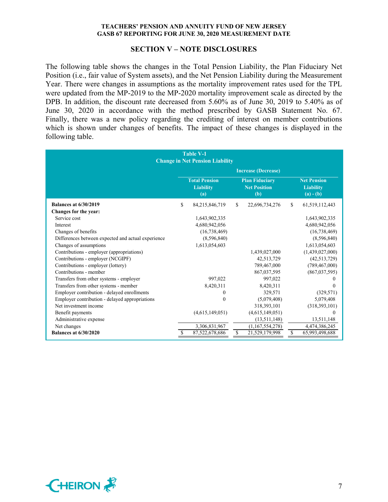#### **SECTION V – NOTE DISCLOSURES**

The following table shows the changes in the Total Pension Liability, the Plan Fiduciary Net Position (i.e., fair value of System assets), and the Net Pension Liability during the Measurement Year. There were changes in assumptions as the mortality improvement rates used for the TPL were updated from the MP-2019 to the MP-2020 mortality improvement scale as directed by the DPB. In addition, the discount rate decreased from 5.60% as of June 30, 2019 to 5.40% as of June 30, 2020 in accordance with the method prescribed by GASB Statement No. 67. Finally, there was a new policy regarding the crediting of interest on member contributions which is shown under changes of benefits. The impact of these changes is displayed in the following table.

| <b>Table V-1</b><br><b>Change in Net Pension Liability</b> |                                                                                                                                                                 |                 |    |                            |               |                 |
|------------------------------------------------------------|-----------------------------------------------------------------------------------------------------------------------------------------------------------------|-----------------|----|----------------------------|---------------|-----------------|
|                                                            |                                                                                                                                                                 |                 |    | <b>Increase (Decrease)</b> |               |                 |
|                                                            | <b>Total Pension</b><br><b>Plan Fiduciary</b><br><b>Net Pension</b><br><b>Net Position</b><br><b>Liability</b><br><b>Liability</b><br>(b)<br>$(a) - (b)$<br>(a) |                 |    |                            |               |                 |
| <b>Balances at 6/30/2019</b>                               | \$                                                                                                                                                              | 84,215,846,719  | \$ | 22,696,734,276             | <sup>\$</sup> | 61,519,112,443  |
| Changes for the year:                                      |                                                                                                                                                                 |                 |    |                            |               |                 |
| Service cost                                               |                                                                                                                                                                 | 1,643,902,335   |    |                            |               | 1,643,902,335   |
| Interest                                                   |                                                                                                                                                                 | 4,680,942,056   |    |                            |               | 4,680,942,056   |
| Changes of benefits                                        |                                                                                                                                                                 | (16, 738, 469)  |    |                            |               | (16, 738, 469)  |
| Differences between expected and actual experience         |                                                                                                                                                                 | (8,596,840)     |    |                            |               | (8,596,840)     |
| Changes of assumptions                                     |                                                                                                                                                                 | 1,613,054,603   |    |                            |               | 1,613,054,603   |
| Contributions - employer (appropriations)                  |                                                                                                                                                                 |                 |    | 1,439,027,000              |               | (1,439,027,000) |
| Contributions - employer (NCGIPF)                          |                                                                                                                                                                 |                 |    | 42,513,729                 |               | (42,513,729)    |
| Contributions - employer (lottery)                         |                                                                                                                                                                 |                 |    | 789,467,000                |               | (789, 467, 000) |
| Contributions - member                                     |                                                                                                                                                                 |                 |    | 867,037,595                |               | (867, 037, 595) |
| Transfers from other systems - employer                    |                                                                                                                                                                 | 997.022         |    | 997.022                    |               | 0               |
| Transfers from other systems - member                      |                                                                                                                                                                 | 8,420,311       |    | 8,420,311                  |               | $\theta$        |
| Employer contribution - delayed enrollments                |                                                                                                                                                                 | 0               |    | 329,571                    |               | (329, 571)      |
| Employer contribution - delayed appropriations             |                                                                                                                                                                 | $\theta$        |    | (5,079,408)                |               | 5,079,408       |
| Net investment income                                      |                                                                                                                                                                 |                 |    | 318,393,101                |               | (318, 393, 101) |
| Benefit payments                                           |                                                                                                                                                                 | (4,615,149,051) |    | (4,615,149,051)            |               | $\Omega$        |
| Administrative expense                                     |                                                                                                                                                                 |                 |    | (13,511,148)               |               | 13,511,148      |
| Net changes                                                |                                                                                                                                                                 | 3,306,831,967   |    | (1,167,554,278)            |               | 4,474,386,245   |
| <b>Balances at 6/30/2020</b>                               |                                                                                                                                                                 | 87,522,678,686  | \$ | 21,529,179,998             | -S            | 65,993,498,688  |

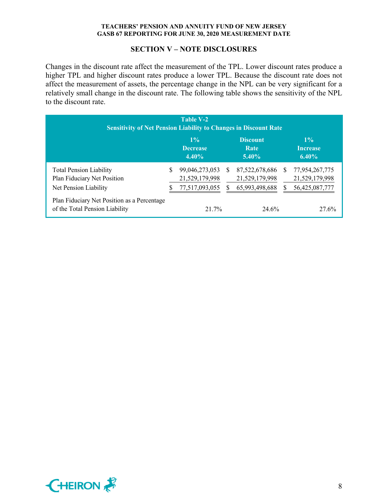#### **SECTION V – NOTE DISCLOSURES**

Changes in the discount rate affect the measurement of the TPL. Lower discount rates produce a higher TPL and higher discount rates produce a lower TPL. Because the discount rate does not affect the measurement of assets, the percentage change in the NPL can be very significant for a relatively small change in the discount rate. The following table shows the sensitivity of the NPL to the discount rate.

| Table V-2<br><b>Sensitivity of Net Pension Liability to Changes in Discount Rate</b>   |    |                                                    |          |                                                    |   |                                                    |  |  |
|----------------------------------------------------------------------------------------|----|----------------------------------------------------|----------|----------------------------------------------------|---|----------------------------------------------------|--|--|
|                                                                                        |    | $1\%$<br><b>Decrease</b><br>$4.40\%$               |          | <b>Discount</b><br>Rate<br>$5.40\%$                |   | $1\%$<br><b>Increase</b><br>$6.40\%$               |  |  |
| <b>Total Pension Liability</b><br>Plan Fiduciary Net Position<br>Net Pension Liability | \$ | 99,046,273,053<br>21,529,179,998<br>77,517,093,055 | <b>S</b> | 87,522,678,686<br>21,529,179,998<br>65,993,498,688 | S | 77,954,267,775<br>21,529,179,998<br>56,425,087,777 |  |  |
| Plan Fiduciary Net Position as a Percentage<br>of the Total Pension Liability          |    | 21.7%                                              |          | 24.6%                                              |   | 27.6%                                              |  |  |

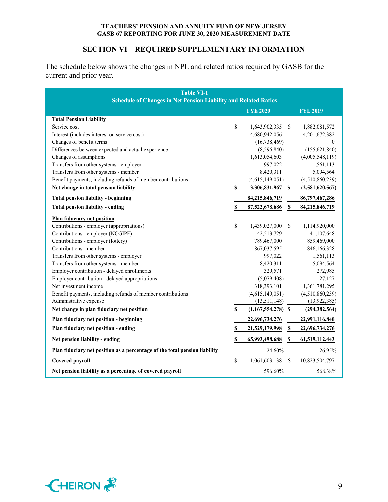## **SECTION VI – REQUIRED SUPPLEMENTARY INFORMATION**

The schedule below shows the changes in NPL and related ratios required by GASB for the current and prior year.

| <b>Table VI-1</b><br><b>Schedule of Changes in Net Pension Liability and Related Ratios</b> |    |                      |               |                 |  |
|---------------------------------------------------------------------------------------------|----|----------------------|---------------|-----------------|--|
|                                                                                             |    | <b>FYE 2020</b>      |               | <b>FYE 2019</b> |  |
| <b>Total Pension Liability</b>                                                              |    |                      |               |                 |  |
| Service cost                                                                                | \$ | 1,643,902,335        | <sup>\$</sup> | 1,882,081,572   |  |
| Interest (includes interest on service cost)                                                |    | 4,680,942,056        |               | 4,201,672,382   |  |
| Changes of benefit terms                                                                    |    | (16, 738, 469)       |               | $\mathbf{0}$    |  |
| Differences between expected and actual experience                                          |    | (8,596,840)          |               | (155, 621, 840) |  |
| Changes of assumptions                                                                      |    | 1,613,054,603        |               | (4,005,548,119) |  |
| Transfers from other systems - employer                                                     |    | 997,022              |               | 1,561,113       |  |
| Transfers from other systems - member                                                       |    | 8,420,311            |               | 5,094,564       |  |
| Benefit payments, including refunds of member contributions                                 |    | (4,615,149,051)      |               | (4,510,860,239) |  |
| Net change in total pension liability                                                       | \$ | 3,306,831,967        | S             | (2,581,620,567) |  |
| <b>Total pension liability - beginning</b>                                                  |    | 84,215,846,719       |               | 86,797,467,286  |  |
| <b>Total pension liability - ending</b>                                                     | \$ | 87,522,678,686       | \$            | 84,215,846,719  |  |
| <b>Plan fiduciary net position</b>                                                          |    |                      |               |                 |  |
| Contributions - employer (appropriations)                                                   | \$ | 1,439,027,000        | \$            | 1,114,920,000   |  |
| Contributions - employer (NCGIPF)                                                           |    | 42,513,729           |               | 41,107,648      |  |
| Contributions - employer (lottery)                                                          |    | 789,467,000          |               | 859,469,000     |  |
| Contributions - member                                                                      |    | 867,037,595          |               | 846,166,328     |  |
| Transfers from other systems - employer                                                     |    | 997,022              |               | 1,561,113       |  |
| Transfers from other systems - member                                                       |    | 8,420,311            |               | 5,094,564       |  |
| Employer contribution - delayed enrollments                                                 |    | 329,571              |               | 272,985         |  |
| Employer contribution - delayed appropriations                                              |    | (5,079,408)          |               | 27,127          |  |
| Net investment income                                                                       |    | 318,393,101          |               | 1,361,781,295   |  |
| Benefit payments, including refunds of member contributions                                 |    | (4,615,149,051)      |               | (4,510,860,239) |  |
| Administrative expense                                                                      |    | (13,511,148)         |               | (13, 922, 385)  |  |
| Net change in plan fiduciary net position                                                   | \$ | $(1,167,554,278)$ \$ |               | (294, 382, 564) |  |
| Plan fiduciary net position - beginning                                                     |    | 22,696,734,276       |               | 22,991,116,840  |  |
| Plan fiduciary net position - ending                                                        | \$ | 21,529,179,998       | \$            | 22,696,734,276  |  |
| Net pension liability - ending                                                              | \$ | 65,993,498,688       | \$            | 61,519,112,443  |  |
| Plan fiduciary net position as a percentage of the total pension liability                  |    | 24.60%               |               | 26.95%          |  |
| Covered payroll                                                                             | \$ | 11,061,603,138       | S             | 10,823,504,797  |  |
| Net pension liability as a percentage of covered payroll                                    |    | 596.60%              |               | 568.38%         |  |

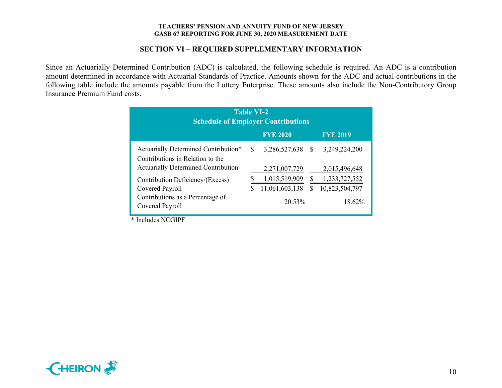## **SECTION VI – REQUIRED SUPPLEMENTARY INFORMATION**

 Since an Actuarially Determined Contribution (ADC) is calculated, the following schedule is required. An ADC is a contribution amount determined in accordance with Actuarial Standards of Practice. Amounts shown for the ADC and actual contributions in the following table include the amounts payable from the Lottery Enterprise. These amounts also include the Non-Contributory Group Insurance Premium Fund costs.

| <b>Table VI-2</b><br><b>Schedule of Employer Contributions</b>           |     |                  |   |                 |  |  |
|--------------------------------------------------------------------------|-----|------------------|---|-----------------|--|--|
|                                                                          |     | <b>FYE 2020</b>  |   | <b>FYE 2019</b> |  |  |
| Actuarially Determined Contribution*<br>Contributions in Relation to the | \$. | 3,286,527,638 \$ |   | 3,249,224,200   |  |  |
| <b>Actuarially Determined Contribution</b>                               |     | 2,271,007,729    |   | 2,015,496,648   |  |  |
| Contribution Deficiency/(Excess)                                         |     | 1,015,519,909    |   | 1,233,727,552   |  |  |
| Covered Payroll                                                          | S   | 11,061,603,138   | S | 10,823,504,797  |  |  |
| Contributions as a Percentage of<br>Covered Payroll                      |     | 20.53%           |   | 18.62%          |  |  |

\* Includes NCGIPF

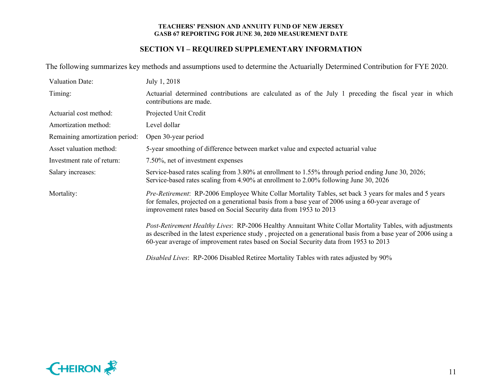## **SECTION VI – REQUIRED SUPPLEMENTARY INFORMATION**

The following summarizes key methods and assumptions used to determine the Actuarially Determined Contribution for FYE 2020.

| <b>Valuation Date:</b>         | July 1, 2018                                                                                                                                                                                                                                                                                                        |
|--------------------------------|---------------------------------------------------------------------------------------------------------------------------------------------------------------------------------------------------------------------------------------------------------------------------------------------------------------------|
| Timing:                        | Actuarial determined contributions are calculated as of the July 1 preceding the fiscal year in which<br>contributions are made.                                                                                                                                                                                    |
| Actuarial cost method:         | Projected Unit Credit                                                                                                                                                                                                                                                                                               |
| Amortization method:           | Level dollar                                                                                                                                                                                                                                                                                                        |
| Remaining amortization period: | Open 30-year period                                                                                                                                                                                                                                                                                                 |
| Asset valuation method:        | 5-year smoothing of difference between market value and expected actuarial value                                                                                                                                                                                                                                    |
| Investment rate of return:     | 7.50%, net of investment expenses                                                                                                                                                                                                                                                                                   |
| Salary increases:              | Service-based rates scaling from 3.80% at enrollment to 1.55% through period ending June 30, 2026;<br>Service-based rates scaling from 4.90% at enrollment to 2.00% following June 30, 2026                                                                                                                         |
| Mortality:                     | <i>Pre-Retirement</i> : RP-2006 Employee White Collar Mortality Tables, set back 3 years for males and 5 years<br>for females, projected on a generational basis from a base year of 2006 using a 60-year average of<br>improvement rates based on Social Security data from 1953 to 2013                           |
|                                | Post-Retirement Healthy Lives: RP-2006 Healthy Annuitant White Collar Mortality Tables, with adjustments<br>as described in the latest experience study, projected on a generational basis from a base year of 2006 using a<br>60-year average of improvement rates based on Social Security data from 1953 to 2013 |
|                                | Disabled Lives: RP-2006 Disabled Retiree Mortality Tables with rates adjusted by 90%                                                                                                                                                                                                                                |

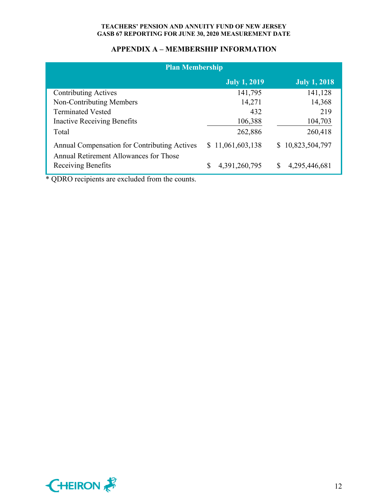## **APPENDIX A – MEMBERSHIP INFORMATION**

| <b>Plan Membership</b>                                                                 |                     |                     |  |  |  |  |
|----------------------------------------------------------------------------------------|---------------------|---------------------|--|--|--|--|
|                                                                                        | <b>July 1, 2019</b> | <b>July 1, 2018</b> |  |  |  |  |
| <b>Contributing Actives</b>                                                            | 141,795             | 141,128             |  |  |  |  |
| Non-Contributing Members                                                               | 14,271              | 14,368              |  |  |  |  |
| <b>Terminated Vested</b>                                                               | 432                 | 219                 |  |  |  |  |
| <b>Inactive Receiving Benefits</b>                                                     | 106,388             | 104,703             |  |  |  |  |
| Total                                                                                  | 262,886             | 260,418             |  |  |  |  |
| Annual Compensation for Contributing Actives<br>Annual Retirement Allowances for Those | \$11,061,603,138    | \$10,823,504,797    |  |  |  |  |
| Receiving Benefits                                                                     | 4,391,260,795       | \$<br>4,295,446,681 |  |  |  |  |

\* QDRO recipients are excluded from the counts.

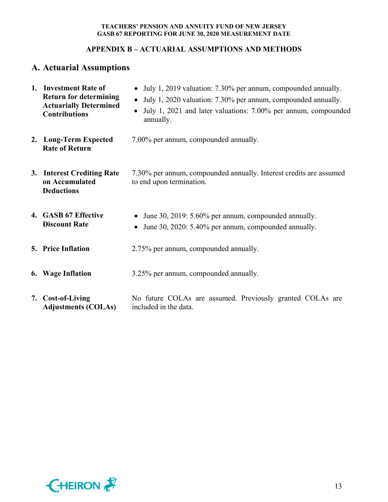## **APPENDIX B – ACTUARIAL ASSUMPTIONS AND METHODS**

# **A. Actuarial Assumptions**

| 1. Investment Rate of<br><b>Return for determining</b><br><b>Actuarially Determined</b><br><b>Contributions</b> | July 1, 2019 valuation: 7.30% per annum, compounded annually.<br>• July 1, 2020 valuation: 7.30% per annum, compounded annually.<br>July 1, 2021 and later valuations: 7.00% per annum, compounded<br>$\bullet$<br>annually. |
|-----------------------------------------------------------------------------------------------------------------|------------------------------------------------------------------------------------------------------------------------------------------------------------------------------------------------------------------------------|
| 2. Long-Term Expected<br><b>Rate of Return</b>                                                                  | 7.00% per annum, compounded annually.                                                                                                                                                                                        |
| 3. Interest Crediting Rate<br>on Accumulated<br><b>Deductions</b>                                               | 7.30% per annum, compounded annually. Interest credits are assumed<br>to end upon termination.                                                                                                                               |
| 4. GASB 67 Effective<br><b>Discount Rate</b>                                                                    | June 30, 2019: 5.60% per annum, compounded annually.<br>June 30, 2020: 5.40% per annum, compounded annually.<br>$\bullet$                                                                                                    |
| <b>5. Price Inflation</b>                                                                                       | 2.75% per annum, compounded annually.                                                                                                                                                                                        |
| 6. Wage Inflation                                                                                               | 3.25% per annum, compounded annually.                                                                                                                                                                                        |
| 7. Cost-of-Living<br><b>Adjustments (COLAs)</b>                                                                 | No future COLAs are assumed. Previously granted COLAs are<br>included in the data.                                                                                                                                           |

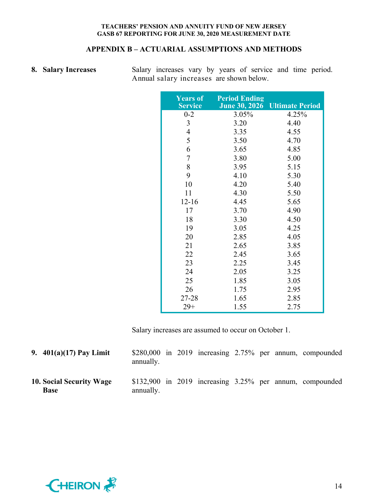## **APPENDIX B – ACTUARIAL ASSUMPTIONS AND METHODS**

|  | 8. Salary Increases |
|--|---------------------|
|  |                     |

**8. Salary Increases** Salary increases vary by years of service and time period. Annual salary increases are shown below.

| <b>Years of</b><br><b>Service</b> | <b>Period Ending</b><br><b>June 30, 2026</b> | <b>Ultimate Period</b> |
|-----------------------------------|----------------------------------------------|------------------------|
| $0 - 2$                           | 3.05%                                        | 4.25%                  |
| 3                                 | 3.20                                         | 4.40                   |
| 4                                 | 3.35                                         | 4.55                   |
| 5                                 | 3.50                                         | 4.70                   |
| 6                                 | 3.65                                         | 4.85                   |
| 7                                 | 3.80                                         | 5.00                   |
| 8                                 | 3.95                                         | 5.15                   |
| 9                                 | 4.10                                         | 5.30                   |
| 10                                | 4.20                                         | 5.40                   |
| 11                                | 4.30                                         | 5.50                   |
| $12 - 16$                         | 4.45                                         | 5.65                   |
| 17                                | 3.70                                         | 4.90                   |
| 18                                | 3.30                                         | 4.50                   |
| 19                                | 3.05                                         | 4.25                   |
| 20                                | 2.85                                         | 4.05                   |
| 21                                | 2.65                                         | 3.85                   |
| 22                                | 2.45                                         | 3.65                   |
| 23                                | 2.25                                         | 3.45                   |
| 24                                | 2.05                                         | 3.25                   |
| 25                                | 1.85                                         | 3.05                   |
| 26                                | 1.75                                         | 2.95                   |
| 27-28                             | 1.65                                         | 2.85                   |
| $29+$                             | 1.55                                         | 2.75                   |

Salary increases are assumed to occur on October 1.

| 9. $401(a)(17)$ Pay Limit                      | annually. |  |  |  | $$280,000$ in 2019 increasing 2.75% per annum, compounded     |
|------------------------------------------------|-----------|--|--|--|---------------------------------------------------------------|
| <b>10. Social Security Wage</b><br><b>Base</b> | annually. |  |  |  | \$132,900 in $2019$ increasing $3.25\%$ per annum, compounded |

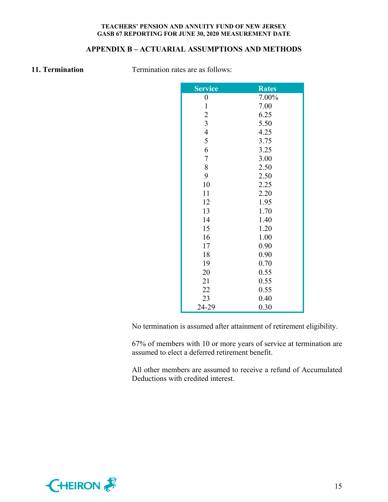## **APPENDIX B – ACTUARIAL ASSUMPTIONS AND METHODS**

**11. Termination Termination rates are as follows:** 

| <b>Service</b>   | <b>Rates</b> |
|------------------|--------------|
| $\boldsymbol{0}$ | 7.00%        |
| $\mathbf{1}$     | 7.00         |
|                  | 6.25         |
| $\frac{2}{3}$    | 5.50         |
| $\overline{4}$   | 4.25         |
| 5                | 3.75         |
| 6                | 3.25         |
| $\boldsymbol{7}$ | 3.00         |
| 8                | 2.50         |
| 9                | 2.50         |
| 10               | 2.25         |
| 11               | 2.20         |
| 12               | 1.95         |
| 13               | 1.70         |
| 14               | 1.40         |
| 15               | 1.20         |
| 16               | 1.00         |
| 17               | 0.90         |
| 18               | 0.90         |
| 19               | 0.70         |
| 20               | 0.55         |
| 21               | 0.55         |
| 22               | 0.55         |
| 23               | 0.40         |
| 24-29            | 0.30         |

No termination is assumed after attainment of retirement eligibility.

67% of members with 10 or more years of service at termination are assumed to elect a deferred retirement benefit.

All other members are assumed to receive a refund of Accumulated Deductions with credited interest.

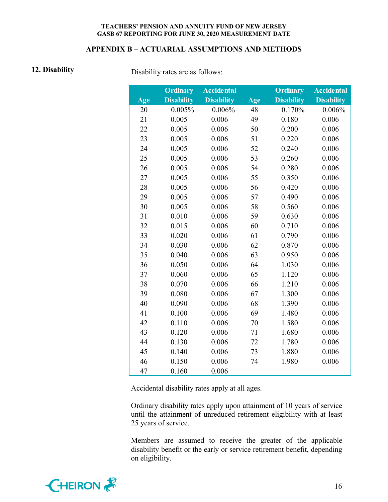## **APPENDIX B – ACTUARIAL ASSUMPTIONS AND METHODS**

**12. Disability Disability Disability** rates are as follows:

|     | <b>Ordinary</b>   | <b>Accidental</b> |     | <b>Ordinary</b>   | <b>Accidental</b> |
|-----|-------------------|-------------------|-----|-------------------|-------------------|
| Age | <b>Disability</b> | <b>Disability</b> | Age | <b>Disability</b> | <b>Disability</b> |
| 20  | 0.005%            | 0.006%            | 48  | 0.170%            | 0.006%            |
| 21  | 0.005             | 0.006             | 49  | 0.180             | 0.006             |
| 22  | 0.005             | 0.006             | 50  | 0.200             | 0.006             |
| 23  | 0.005             | 0.006             | 51  | 0.220             | 0.006             |
| 24  | 0.005             | 0.006             | 52  | 0.240             | 0.006             |
| 25  | 0.005             | 0.006             | 53  | 0.260             | 0.006             |
| 26  | 0.005             | 0.006             | 54  | 0.280             | 0.006             |
| 27  | 0.005             | 0.006             | 55  | 0.350             | 0.006             |
| 28  | 0.005             | 0.006             | 56  | 0.420             | 0.006             |
| 29  | 0.005             | 0.006             | 57  | 0.490             | 0.006             |
| 30  | 0.005             | 0.006             | 58  | 0.560             | 0.006             |
| 31  | 0.010             | 0.006             | 59  | 0.630             | 0.006             |
| 32  | 0.015             | 0.006             | 60  | 0.710             | 0.006             |
| 33  | 0.020             | 0.006             | 61  | 0.790             | 0.006             |
| 34  | 0.030             | 0.006             | 62  | 0.870             | 0.006             |
| 35  | 0.040             | 0.006             | 63  | 0.950             | 0.006             |
| 36  | 0.050             | 0.006             | 64  | 1.030             | 0.006             |
| 37  | 0.060             | 0.006             | 65  | 1.120             | 0.006             |
| 38  | 0.070             | 0.006             | 66  | 1.210             | 0.006             |
| 39  | 0.080             | 0.006             | 67  | 1.300             | 0.006             |
| 40  | 0.090             | 0.006             | 68  | 1.390             | 0.006             |
| 41  | 0.100             | 0.006             | 69  | 1.480             | 0.006             |
| 42  | 0.110             | 0.006             | 70  | 1.580             | 0.006             |
| 43  | 0.120             | 0.006             | 71  | 1.680             | 0.006             |
| 44  | 0.130             | 0.006             | 72  | 1.780             | 0.006             |
| 45  | 0.140             | 0.006             | 73  | 1.880             | 0.006             |
| 46  | 0.150             | 0.006             | 74  | 1.980             | 0.006             |
| 47  | 0.160             | 0.006             |     |                   |                   |

Accidental disability rates apply at all ages.

Ordinary disability rates apply upon attainment of 10 years of service until the attainment of unreduced retirement eligibility with at least 25 years of service.

Members are assumed to receive the greater of the applicable disability benefit or the early or service retirement benefit, depending on eligibility.

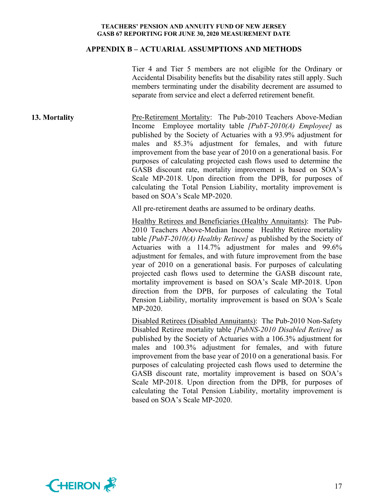#### **APPENDIX B – ACTUARIAL ASSUMPTIONS AND METHODS**

Tier 4 and Tier 5 members are not eligible for the Ordinary or Accidental Disability benefits but the disability rates still apply. Such members terminating under the disability decrement are assumed to separate from service and elect a deferred retirement benefit.

**13. Mortality Pre-Retirement Mortality:** The Pub-2010 Teachers Above-Median Income Employee mortality table *[PubT-2010(A) Employee]* as published by the Society of Actuaries with a 93.9% adjustment for males and 85.3% adjustment for females, and with future improvement from the base year of 2010 on a generational basis. For purposes of calculating projected cash flows used to determine the GASB discount rate, mortality improvement is based on SOA's Scale MP-2018. Upon direction from the DPB, for purposes of calculating the Total Pension Liability, mortality improvement is based on SOA's Scale MP-2020.

All pre-retirement deaths are assumed to be ordinary deaths.

Healthy Retirees and Beneficiaries (Healthy Annuitants): The Pub-2010 Teachers Above-Median Income Healthy Retiree mortality table *[PubT-2010(A) Healthy Retiree]* as published by the Society of Actuaries with a 114.7% adjustment for males and 99.6% adjustment for females, and with future improvement from the base year of 2010 on a generational basis. For purposes of calculating projected cash flows used to determine the GASB discount rate, mortality improvement is based on SOA's Scale MP-2018. Upon direction from the DPB, for purposes of calculating the Total Pension Liability, mortality improvement is based on SOA's Scale MP-2020.

Disabled Retirees (Disabled Annuitants): The Pub-2010 Non-Safety Disabled Retiree mortality table *[PubNS-2010 Disabled Retiree]* as published by the Society of Actuaries with a 106.3% adjustment for males and 100.3% adjustment for females, and with future improvement from the base year of 2010 on a generational basis. For purposes of calculating projected cash flows used to determine the GASB discount rate, mortality improvement is based on SOA's Scale MP-2018. Upon direction from the DPB, for purposes of calculating the Total Pension Liability, mortality improvement is based on SOA's Scale MP-2020.

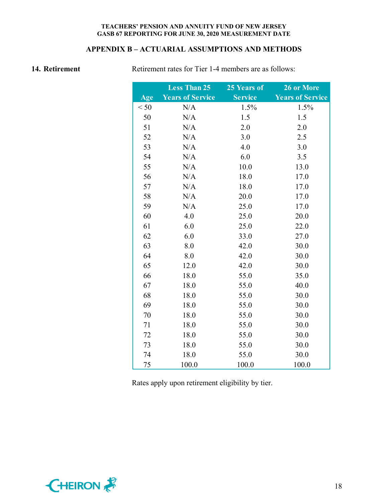## **APPENDIX B – ACTUARIAL ASSUMPTIONS AND METHODS**

**14. Retirement Retirement rates for Tier 1-4 members are as follows:** 

|      | <b>Less Than 25</b>     | 25 Years of    | 26 or More              |
|------|-------------------------|----------------|-------------------------|
| Age  | <b>Years of Service</b> | <b>Service</b> | <b>Years of Service</b> |
| < 50 | N/A                     | 1.5%           | 1.5%                    |
| 50   | N/A                     | 1.5            | 1.5                     |
| 51   | N/A                     | 2.0            | 2.0                     |
| 52   | N/A                     | 3.0            | 2.5                     |
| 53   | N/A                     | 4.0            | 3.0                     |
| 54   | N/A                     | 6.0            | 3.5                     |
| 55   | N/A                     | 10.0           | 13.0                    |
| 56   | N/A                     | 18.0           | 17.0                    |
| 57   | N/A                     | 18.0           | 17.0                    |
| 58   | N/A                     | 20.0           | 17.0                    |
| 59   | N/A                     | 25.0           | 17.0                    |
| 60   | 4.0                     | 25.0           | 20.0                    |
| 61   | 6.0                     | 25.0           | 22.0                    |
| 62   | 6.0                     | 33.0           | 27.0                    |
| 63   | 8.0                     | 42.0           | 30.0                    |
| 64   | 8.0                     | 42.0           | 30.0                    |
| 65   | 12.0                    | 42.0           | 30.0                    |
| 66   | 18.0                    | 55.0           | 35.0                    |
| 67   | 18.0                    | 55.0           | 40.0                    |
| 68   | 18.0                    | 55.0           | 30.0                    |
| 69   | 18.0                    | 55.0           | 30.0                    |
| 70   | 18.0                    | 55.0           | 30.0                    |
| 71   | 18.0                    | 55.0           | 30.0                    |
| 72   | 18.0                    | 55.0           | 30.0                    |
| 73   | 18.0                    | 55.0           | 30.0                    |
| 74   | 18.0                    | 55.0           | 30.0                    |
| 75   | 100.0                   | 100.0          | 100.0                   |

Rates apply upon retirement eligibility by tier.

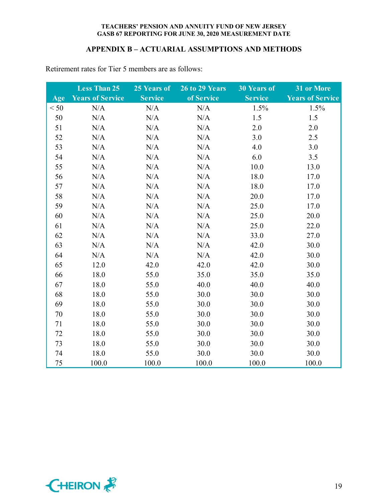## **APPENDIX B – ACTUARIAL ASSUMPTIONS AND METHODS**

|      | <b>Less Than 25</b>     | 25 Years of    | 26 to 29 Years | <b>30 Years of</b> | 31 or More              |
|------|-------------------------|----------------|----------------|--------------------|-------------------------|
| Age  | <b>Years of Service</b> | <b>Service</b> | of Service     | <b>Service</b>     | <b>Years of Service</b> |
| < 50 | N/A                     | N/A            | N/A            | 1.5%               | 1.5%                    |
| 50   | N/A                     | N/A            | N/A            | 1.5                | 1.5                     |
| 51   | N/A                     | N/A            | N/A            | 2.0                | 2.0                     |
| 52   | N/A                     | N/A            | N/A            | 3.0                | 2.5                     |
| 53   | N/A                     | N/A            | N/A            | 4.0                | 3.0                     |
| 54   | N/A                     | N/A            | N/A            | 6.0                | 3.5                     |
| 55   | N/A                     | N/A            | N/A            | 10.0               | 13.0                    |
| 56   | N/A                     | N/A            | N/A            | 18.0               | 17.0                    |
| 57   | N/A                     | N/A            | N/A            | 18.0               | 17.0                    |
| 58   | N/A                     | N/A            | N/A            | 20.0               | 17.0                    |
| 59   | N/A                     | N/A            | N/A            | 25.0               | 17.0                    |
| 60   | N/A                     | N/A            | N/A            | 25.0               | 20.0                    |
| 61   | N/A                     | N/A            | N/A            | 25.0               | 22.0                    |
| 62   | N/A                     | N/A            | N/A            | 33.0               | 27.0                    |
| 63   | N/A                     | N/A            | N/A            | 42.0               | 30.0                    |
| 64   | N/A                     | N/A            | N/A            | 42.0               | 30.0                    |
| 65   | 12.0                    | 42.0           | 42.0           | 42.0               | 30.0                    |
| 66   | 18.0                    | 55.0           | 35.0           | 35.0               | 35.0                    |
| 67   | 18.0                    | 55.0           | 40.0           | 40.0               | 40.0                    |
| 68   | 18.0                    | 55.0           | 30.0           | 30.0               | 30.0                    |
| 69   | 18.0                    | 55.0           | 30.0           | 30.0               | 30.0                    |
| 70   | 18.0                    | 55.0           | 30.0           | 30.0               | 30.0                    |
| 71   | 18.0                    | 55.0           | 30.0           | 30.0               | 30.0                    |
| 72   | 18.0                    | 55.0           | 30.0           | 30.0               | 30.0                    |
| 73   | 18.0                    | 55.0           | 30.0           | 30.0               | 30.0                    |
| 74   | 18.0                    | 55.0           | 30.0           | 30.0               | 30.0                    |
| 75   | 100.0                   | 100.0          | 100.0          | 100.0              | 100.0                   |

Retirement rates for Tier 5 members are as follows:

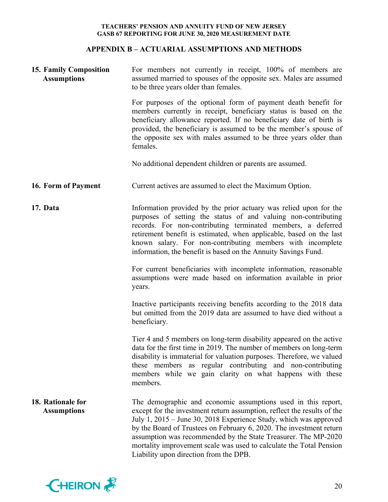## **APPENDIX B – ACTUARIAL ASSUMPTIONS AND METHODS**

| <b>15. Family Composition</b><br><b>Assumptions</b> | For members not currently in receipt, 100% of members are<br>assumed married to spouses of the opposite sex. Males are assumed<br>to be three years older than females.                                                                                                                                                                                                                                                                                                 |  |  |  |
|-----------------------------------------------------|-------------------------------------------------------------------------------------------------------------------------------------------------------------------------------------------------------------------------------------------------------------------------------------------------------------------------------------------------------------------------------------------------------------------------------------------------------------------------|--|--|--|
|                                                     | For purposes of the optional form of payment death benefit for<br>members currently in receipt, beneficiary status is based on the<br>beneficiary allowance reported. If no beneficiary date of birth is<br>provided, the beneficiary is assumed to be the member's spouse of<br>the opposite sex with males assumed to be three years older than<br>females.                                                                                                           |  |  |  |
|                                                     | No additional dependent children or parents are assumed.                                                                                                                                                                                                                                                                                                                                                                                                                |  |  |  |
| 16. Form of Payment                                 | Current actives are assumed to elect the Maximum Option.                                                                                                                                                                                                                                                                                                                                                                                                                |  |  |  |
| 17. Data                                            | Information provided by the prior actuary was relied upon for the<br>purposes of setting the status of and valuing non-contributing<br>records. For non-contributing terminated members, a deferred<br>retirement benefit is estimated, when applicable, based on the last<br>known salary. For non-contributing members with incomplete<br>information, the benefit is based on the Annuity Savings Fund.                                                              |  |  |  |
|                                                     | For current beneficiaries with incomplete information, reasonable<br>assumptions were made based on information available in prior<br>years.                                                                                                                                                                                                                                                                                                                            |  |  |  |
|                                                     | Inactive participants receiving benefits according to the 2018 data<br>but omitted from the 2019 data are assumed to have died without a<br>beneficiary.                                                                                                                                                                                                                                                                                                                |  |  |  |
|                                                     | Tier 4 and 5 members on long-term disability appeared on the active<br>data for the first time in 2019. The number of members on long-term<br>disability is immaterial for valuation purposes. Therefore, we valued<br>these members as regular contributing and non-contributing<br>members while we gain clarity on what happens with these<br>members.                                                                                                               |  |  |  |
| 18. Rationale for<br><b>Assumptions</b>             | The demographic and economic assumptions used in this report,<br>except for the investment return assumption, reflect the results of the<br>July 1, 2015 – June 30, 2018 Experience Study, which was approved<br>by the Board of Trustees on February 6, 2020. The investment return<br>assumption was recommended by the State Treasurer. The MP-2020<br>mortality improvement scale was used to calculate the Total Pension<br>Liability upon direction from the DPB. |  |  |  |

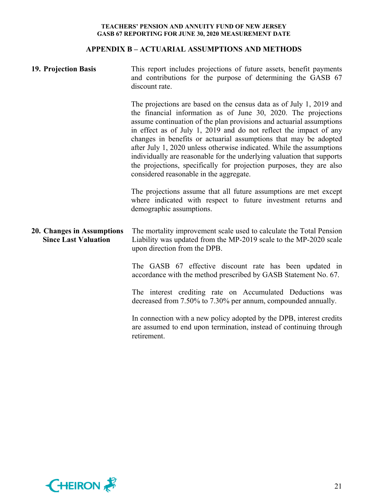## **APPENDIX B – ACTUARIAL ASSUMPTIONS AND METHODS**

| 19. Projection Basis                                      | This report includes projections of future assets, benefit payments<br>and contributions for the purpose of determining the GASB 67<br>discount rate.                                                                                                                                                                                                                                                                                                                                                                                                                                                                       |  |  |  |
|-----------------------------------------------------------|-----------------------------------------------------------------------------------------------------------------------------------------------------------------------------------------------------------------------------------------------------------------------------------------------------------------------------------------------------------------------------------------------------------------------------------------------------------------------------------------------------------------------------------------------------------------------------------------------------------------------------|--|--|--|
|                                                           | The projections are based on the census data as of July 1, 2019 and<br>the financial information as of June 30, 2020. The projections<br>assume continuation of the plan provisions and actuarial assumptions<br>in effect as of July 1, 2019 and do not reflect the impact of any<br>changes in benefits or actuarial assumptions that may be adopted<br>after July 1, 2020 unless otherwise indicated. While the assumptions<br>individually are reasonable for the underlying valuation that supports<br>the projections, specifically for projection purposes, they are also<br>considered reasonable in the aggregate. |  |  |  |
|                                                           | The projections assume that all future assumptions are met except<br>where indicated with respect to future investment returns and<br>demographic assumptions.                                                                                                                                                                                                                                                                                                                                                                                                                                                              |  |  |  |
| 20. Changes in Assumptions<br><b>Since Last Valuation</b> | The mortality improvement scale used to calculate the Total Pension<br>Liability was updated from the MP-2019 scale to the MP-2020 scale<br>upon direction from the DPB.                                                                                                                                                                                                                                                                                                                                                                                                                                                    |  |  |  |
|                                                           | The GASB 67 effective discount rate has been updated in<br>accordance with the method prescribed by GASB Statement No. 67.                                                                                                                                                                                                                                                                                                                                                                                                                                                                                                  |  |  |  |
|                                                           | The interest crediting rate on Accumulated Deductions was<br>decreased from 7.50% to 7.30% per annum, compounded annually.                                                                                                                                                                                                                                                                                                                                                                                                                                                                                                  |  |  |  |
|                                                           | In connection with a new policy adopted by the DPB, interest credits<br>are assumed to end upon termination, instead of continuing through<br>retirement.                                                                                                                                                                                                                                                                                                                                                                                                                                                                   |  |  |  |

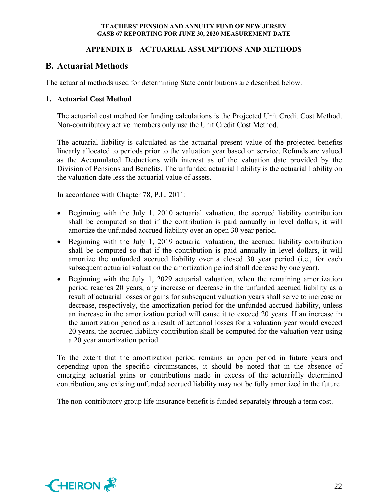## **APPENDIX B – ACTUARIAL ASSUMPTIONS AND METHODS**

# **B. Actuarial Methods**

The actuarial methods used for determining State contributions are described below.

## **1. Actuarial Cost Method**

The actuarial cost method for funding calculations is the Projected Unit Credit Cost Method. Non-contributory active members only use the Unit Credit Cost Method.

The actuarial liability is calculated as the actuarial present value of the projected benefits linearly allocated to periods prior to the valuation year based on service. Refunds are valued as the Accumulated Deductions with interest as of the valuation date provided by the Division of Pensions and Benefits. The unfunded actuarial liability is the actuarial liability on the valuation date less the actuarial value of assets.

In accordance with Chapter 78, P.L. 2011:

- Beginning with the July 1, 2010 actuarial valuation, the accrued liability contribution shall be computed so that if the contribution is paid annually in level dollars, it will amortize the unfunded accrued liability over an open 30 year period.
- Beginning with the July 1, 2019 actuarial valuation, the accrued liability contribution shall be computed so that if the contribution is paid annually in level dollars, it will amortize the unfunded accrued liability over a closed 30 year period (i.e., for each subsequent actuarial valuation the amortization period shall decrease by one year).
- Beginning with the July 1, 2029 actuarial valuation, when the remaining amortization period reaches 20 years, any increase or decrease in the unfunded accrued liability as a result of actuarial losses or gains for subsequent valuation years shall serve to increase or decrease, respectively, the amortization period for the unfunded accrued liability, unless an increase in the amortization period will cause it to exceed 20 years. If an increase in the amortization period as a result of actuarial losses for a valuation year would exceed 20 years, the accrued liability contribution shall be computed for the valuation year using a 20 year amortization period.

To the extent that the amortization period remains an open period in future years and depending upon the specific circumstances, it should be noted that in the absence of emerging actuarial gains or contributions made in excess of the actuarially determined contribution, any existing unfunded accrued liability may not be fully amortized in the future.

The non-contributory group life insurance benefit is funded separately through a term cost.

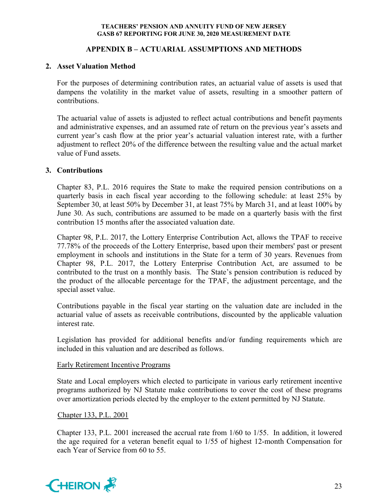## **APPENDIX B – ACTUARIAL ASSUMPTIONS AND METHODS**

## **2. Asset Valuation Method**

For the purposes of determining contribution rates, an actuarial value of assets is used that dampens the volatility in the market value of assets, resulting in a smoother pattern of contributions.

The actuarial value of assets is adjusted to reflect actual contributions and benefit payments and administrative expenses, and an assumed rate of return on the previous year's assets and current year's cash flow at the prior year's actuarial valuation interest rate, with a further adjustment to reflect 20% of the difference between the resulting value and the actual market value of Fund assets.

## **3. Contributions**

Chapter 83, P.L. 2016 requires the State to make the required pension contributions on a quarterly basis in each fiscal year according to the following schedule: at least 25% by September 30, at least 50% by December 31, at least 75% by March 31, and at least 100% by June 30. As such, contributions are assumed to be made on a quarterly basis with the first contribution 15 months after the associated valuation date.

Chapter 98, P.L. 2017, the Lottery Enterprise Contribution Act, allows the TPAF to receive 77.78% of the proceeds of the Lottery Enterprise, based upon their members' past or present employment in schools and institutions in the State for a term of 30 years. Revenues from Chapter 98, P.L. 2017, the Lottery Enterprise Contribution Act, are assumed to be contributed to the trust on a monthly basis. The State's pension contribution is reduced by the product of the allocable percentage for the TPAF, the adjustment percentage, and the special asset value.

Contributions payable in the fiscal year starting on the valuation date are included in the actuarial value of assets as receivable contributions, discounted by the applicable valuation interest rate.

Legislation has provided for additional benefits and/or funding requirements which are included in this valuation and are described as follows.

## Early Retirement Incentive Programs

State and Local employers which elected to participate in various early retirement incentive programs authorized by NJ Statute make contributions to cover the cost of these programs over amortization periods elected by the employer to the extent permitted by NJ Statute.

## Chapter 133, P.L. 2001

Chapter 133, P.L. 2001 increased the accrual rate from 1/60 to 1/55. In addition, it lowered the age required for a veteran benefit equal to 1/55 of highest 12-month Compensation for each Year of Service from 60 to 55.

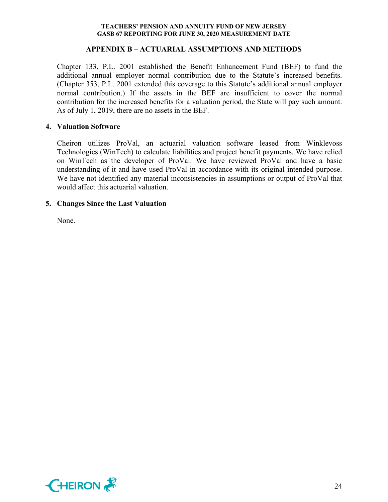## **APPENDIX B – ACTUARIAL ASSUMPTIONS AND METHODS**

Chapter 133, P.L. 2001 established the Benefit Enhancement Fund (BEF) to fund the additional annual employer normal contribution due to the Statute's increased benefits. (Chapter 353, P.L. 2001 extended this coverage to this Statute's additional annual employer normal contribution.) If the assets in the BEF are insufficient to cover the normal contribution for the increased benefits for a valuation period, the State will pay such amount. As of July 1, 2019, there are no assets in the BEF.

## **4. Valuation Software**

Cheiron utilizes ProVal, an actuarial valuation software leased from Winklevoss Technologies (WinTech) to calculate liabilities and project benefit payments. We have relied on WinTech as the developer of ProVal. We have reviewed ProVal and have a basic understanding of it and have used ProVal in accordance with its original intended purpose. We have not identified any material inconsistencies in assumptions or output of ProVal that would affect this actuarial valuation.

## **5. Changes Since the Last Valuation**

None.

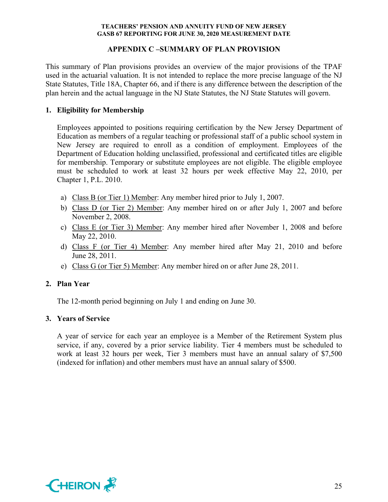## **APPENDIX C –SUMMARY OF PLAN PROVISION**

This summary of Plan provisions provides an overview of the major provisions of the TPAF used in the actuarial valuation. It is not intended to replace the more precise language of the NJ State Statutes, Title 18A, Chapter 66, and if there is any difference between the description of the plan herein and the actual language in the NJ State Statutes, the NJ State Statutes will govern.

## **1. Eligibility for Membership**

Employees appointed to positions requiring certification by the New Jersey Department of Education as members of a regular teaching or professional staff of a public school system in New Jersey are required to enroll as a condition of employment. Employees of the Department of Education holding unclassified, professional and certificated titles are eligible for membership. Temporary or substitute employees are not eligible. The eligible employee must be scheduled to work at least 32 hours per week effective May 22, 2010, per Chapter 1, P.L. 2010.

- a) Class B (or Tier 1) Member: Any member hired prior to July 1, 2007.
- b) Class D (or Tier 2) Member: Any member hired on or after July 1, 2007 and before November 2, 2008.
- c) Class E (or Tier 3) Member: Any member hired after November 1, 2008 and before May 22, 2010.
- d) Class F (or Tier 4) Member: Any member hired after May 21, 2010 and before June 28, 2011.
- e) Class G (or Tier 5) Member: Any member hired on or after June 28, 2011.

## **2. Plan Year**

The 12-month period beginning on July 1 and ending on June 30.

## **3. Years of Service**

A year of service for each year an employee is a Member of the Retirement System plus service, if any, covered by a prior service liability. Tier 4 members must be scheduled to work at least 32 hours per week, Tier 3 members must have an annual salary of \$7,500 (indexed for inflation) and other members must have an annual salary of \$500.

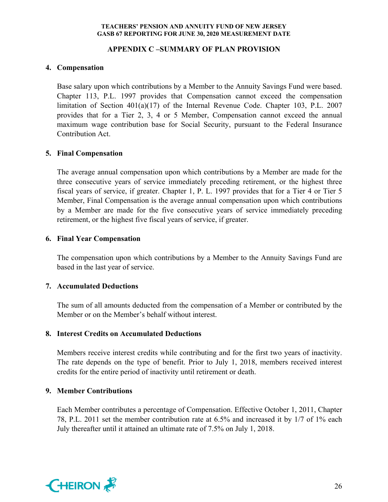## **APPENDIX C –SUMMARY OF PLAN PROVISION**

## **4. Compensation**

Base salary upon which contributions by a Member to the Annuity Savings Fund were based. Chapter 113, P.L. 1997 provides that Compensation cannot exceed the compensation limitation of Section 401(a)(17) of the Internal Revenue Code. Chapter 103, P.L. 2007 provides that for a Tier 2, 3, 4 or 5 Member, Compensation cannot exceed the annual maximum wage contribution base for Social Security, pursuant to the Federal Insurance Contribution Act.

## **5. Final Compensation**

The average annual compensation upon which contributions by a Member are made for the three consecutive years of service immediately preceding retirement, or the highest three fiscal years of service, if greater. Chapter 1, P. L. 1997 provides that for a Tier 4 or Tier 5 Member, Final Compensation is the average annual compensation upon which contributions by a Member are made for the five consecutive years of service immediately preceding retirement, or the highest five fiscal years of service, if greater.

## **6. Final Year Compensation**

The compensation upon which contributions by a Member to the Annuity Savings Fund are based in the last year of service.

## **7. Accumulated Deductions**

The sum of all amounts deducted from the compensation of a Member or contributed by the Member or on the Member's behalf without interest.

## **8. Interest Credits on Accumulated Deductions**

Members receive interest credits while contributing and for the first two years of inactivity. The rate depends on the type of benefit. Prior to July 1, 2018, members received interest credits for the entire period of inactivity until retirement or death.

## **9. Member Contributions**

Each Member contributes a percentage of Compensation. Effective October 1, 2011, Chapter 78, P.L. 2011 set the member contribution rate at 6.5% and increased it by 1/7 of 1% each July thereafter until it attained an ultimate rate of 7.5% on July 1, 2018.

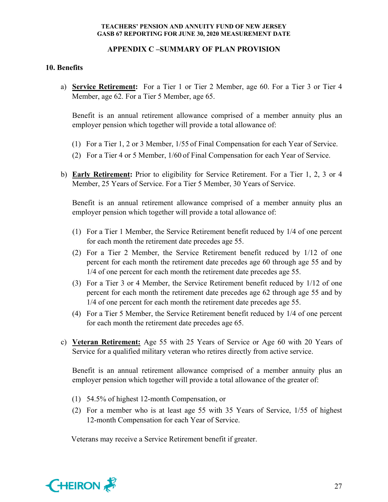## **APPENDIX C –SUMMARY OF PLAN PROVISION**

## **10. Benefits**

a) **Service Retirement:** For a Tier 1 or Tier 2 Member, age 60. For a Tier 3 or Tier 4 Member, age 62. For a Tier 5 Member, age 65.

Benefit is an annual retirement allowance comprised of a member annuity plus an employer pension which together will provide a total allowance of:

- (1) For a Tier 1, 2 or 3 Member, 1/55 of Final Compensation for each Year of Service.
- (2) For a Tier 4 or 5 Member, 1/60 of Final Compensation for each Year of Service.
- b) **Early Retirement:** Prior to eligibility for Service Retirement. For a Tier 1, 2, 3 or 4 Member, 25 Years of Service. For a Tier 5 Member, 30 Years of Service.

Benefit is an annual retirement allowance comprised of a member annuity plus an employer pension which together will provide a total allowance of:

- (1) For a Tier 1 Member, the Service Retirement benefit reduced by 1/4 of one percent for each month the retirement date precedes age 55.
- (2) For a Tier 2 Member, the Service Retirement benefit reduced by 1/12 of one percent for each month the retirement date precedes age 60 through age 55 and by 1/4 of one percent for each month the retirement date precedes age 55.
- (3) For a Tier 3 or 4 Member, the Service Retirement benefit reduced by 1/12 of one percent for each month the retirement date precedes age 62 through age 55 and by 1/4 of one percent for each month the retirement date precedes age 55.
- (4) For a Tier 5 Member, the Service Retirement benefit reduced by 1/4 of one percent for each month the retirement date precedes age 65.
- c) **Veteran Retirement:** Age 55 with 25 Years of Service or Age 60 with 20 Years of Service for a qualified military veteran who retires directly from active service.

Benefit is an annual retirement allowance comprised of a member annuity plus an employer pension which together will provide a total allowance of the greater of:

- (1) 54.5% of highest 12-month Compensation, or
- (2) For a member who is at least age 55 with 35 Years of Service, 1/55 of highest 12-month Compensation for each Year of Service.

Veterans may receive a Service Retirement benefit if greater.

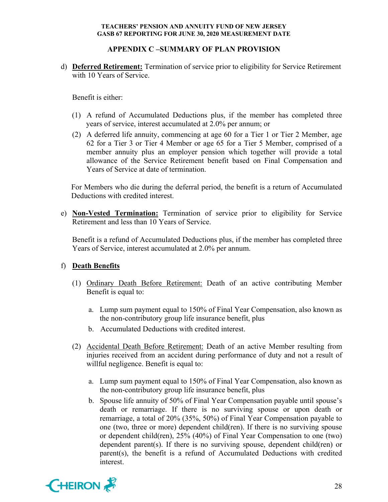## **APPENDIX C –SUMMARY OF PLAN PROVISION**

d) **Deferred Retirement:** Termination of service prior to eligibility for Service Retirement with 10 Years of Service.

Benefit is either:

- (1) A refund of Accumulated Deductions plus, if the member has completed three years of service, interest accumulated at 2.0% per annum; or
- (2) A deferred life annuity, commencing at age 60 for a Tier 1 or Tier 2 Member, age 62 for a Tier 3 or Tier 4 Member or age 65 for a Tier 5 Member, comprised of a member annuity plus an employer pension which together will provide a total allowance of the Service Retirement benefit based on Final Compensation and Years of Service at date of termination.

For Members who die during the deferral period, the benefit is a return of Accumulated Deductions with credited interest.

e) **Non-Vested Termination:** Termination of service prior to eligibility for Service Retirement and less than 10 Years of Service.

Benefit is a refund of Accumulated Deductions plus, if the member has completed three Years of Service, interest accumulated at 2.0% per annum.

## f) **Death Benefits**

- (1) Ordinary Death Before Retirement: Death of an active contributing Member Benefit is equal to:
	- a. Lump sum payment equal to 150% of Final Year Compensation, also known as the non-contributory group life insurance benefit, plus
	- b. Accumulated Deductions with credited interest.
- (2) Accidental Death Before Retirement: Death of an active Member resulting from injuries received from an accident during performance of duty and not a result of willful negligence. Benefit is equal to:
	- a. Lump sum payment equal to 150% of Final Year Compensation, also known as the non-contributory group life insurance benefit, plus
	- b. Spouse life annuity of 50% of Final Year Compensation payable until spouse's death or remarriage. If there is no surviving spouse or upon death or remarriage, a total of 20% (35%, 50%) of Final Year Compensation payable to one (two, three or more) dependent child(ren). If there is no surviving spouse or dependent child(ren), 25% (40%) of Final Year Compensation to one (two) dependent parent(s). If there is no surviving spouse, dependent child(ren) or parent(s), the benefit is a refund of Accumulated Deductions with credited interest.

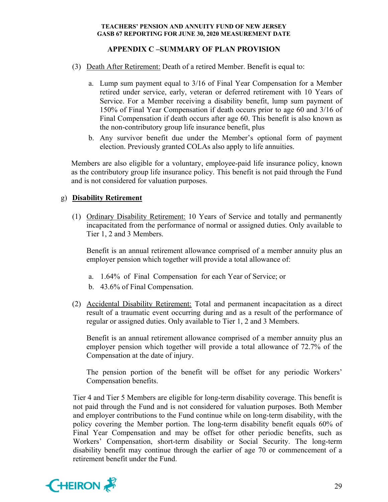## **APPENDIX C –SUMMARY OF PLAN PROVISION**

- (3) Death After Retirement: Death of a retired Member. Benefit is equal to:
	- a. Lump sum payment equal to 3/16 of Final Year Compensation for a Member retired under service, early, veteran or deferred retirement with 10 Years of Service. For a Member receiving a disability benefit, lump sum payment of 150% of Final Year Compensation if death occurs prior to age 60 and 3/16 of Final Compensation if death occurs after age 60. This benefit is also known as the non-contributory group life insurance benefit, plus
	- b. Any survivor benefit due under the Member's optional form of payment election. Previously granted COLAs also apply to life annuities.

Members are also eligible for a voluntary, employee-paid life insurance policy, known as the contributory group life insurance policy. This benefit is not paid through the Fund and is not considered for valuation purposes.

## g) **Disability Retirement**

(1) Ordinary Disability Retirement: 10 Years of Service and totally and permanently incapacitated from the performance of normal or assigned duties. Only available to Tier 1, 2 and 3 Members.

Benefit is an annual retirement allowance comprised of a member annuity plus an employer pension which together will provide a total allowance of:

- a. 1.64% of Final Compensation for each Year of Service; or
- b. 43.6% of Final Compensation.
- (2) Accidental Disability Retirement: Total and permanent incapacitation as a direct result of a traumatic event occurring during and as a result of the performance of regular or assigned duties. Only available to Tier 1, 2 and 3 Members.

Benefit is an annual retirement allowance comprised of a member annuity plus an employer pension which together will provide a total allowance of 72.7% of the Compensation at the date of injury.

The pension portion of the benefit will be offset for any periodic Workers' Compensation benefits.

Tier 4 and Tier 5 Members are eligible for long-term disability coverage. This benefit is not paid through the Fund and is not considered for valuation purposes. Both Member and employer contributions to the Fund continue while on long-term disability, with the policy covering the Member portion. The long-term disability benefit equals 60% of Final Year Compensation and may be offset for other periodic benefits, such as Workers' Compensation, short-term disability or Social Security. The long-term disability benefit may continue through the earlier of age 70 or commencement of a retirement benefit under the Fund.

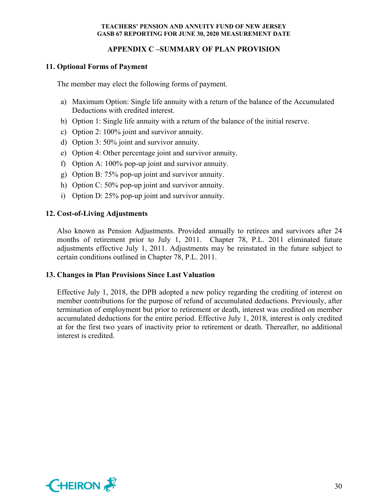## **APPENDIX C –SUMMARY OF PLAN PROVISION**

## **11. Optional Forms of Payment**

The member may elect the following forms of payment.

- a) Maximum Option: Single life annuity with a return of the balance of the Accumulated Deductions with credited interest.
- b) Option 1: Single life annuity with a return of the balance of the initial reserve.
- c) Option 2: 100% joint and survivor annuity.
- d) Option 3: 50% joint and survivor annuity.
- e) Option 4: Other percentage joint and survivor annuity.
- f) Option A: 100% pop-up joint and survivor annuity.
- g) Option B: 75% pop-up joint and survivor annuity.
- h) Option C: 50% pop-up joint and survivor annuity.
- i) Option D: 25% pop-up joint and survivor annuity.

## **12. Cost-of-Living Adjustments**

Also known as Pension Adjustments. Provided annually to retirees and survivors after 24 months of retirement prior to July 1, 2011. Chapter 78, P.L. 2011 eliminated future adjustments effective July 1, 2011. Adjustments may be reinstated in the future subject to certain conditions outlined in Chapter 78, P.L. 2011.

## **13. Changes in Plan Provisions Since Last Valuation**

Effective July 1, 2018, the DPB adopted a new policy regarding the crediting of interest on member contributions for the purpose of refund of accumulated deductions. Previously, after termination of employment but prior to retirement or death, interest was credited on member accumulated deductions for the entire period. Effective July 1, 2018, interest is only credited at for the first two years of inactivity prior to retirement or death. Thereafter, no additional interest is credited.

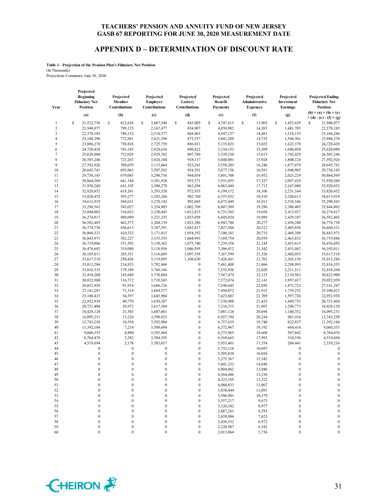#### **APPENDIX D – DETERMINATION OF DISCOUNT RATE**

**Table 1 - Projection of the Pension Plan's Fiduciary Net Position** (In Thousands) Projections Commence June 30, 2020

**Year Projected Beginning Fiduciary Net Position Projected Member Contributions Projected Employer Contributions Projected Lottery Contributions Projected Benefit Payments Projected Administrative Expenses Projected Investment Earnings Projected Ending Fiduciary Net Position**<br>(**h**) = (**a**) + (**b**) + (**c**) (a) (b) (c) (d) (e) (f)  $\binom{p}{k} = \binom{a}{k} + \binom{b}{k} + \binom{c}{k}$ **+ (d) - (e) - (f) + (g)** 1 \ \$ 21,522,756 \ \$ 812,656 \ \$ 2,067,548 \ \$ 845,005 \ \$ 4,747,615 \ \$ 13,903 \ \$ 1,453,629 \ \$ 21,940,077 2 21,940,077 799,123 2,167,477 854,907 4,850,982 14,203 1,481,785 22,378,185 3 22,378,185 786,152 2,518,577 864,863 4,947,137 14,481 1,518,135 23,104,296 4 23,104,296 772,961 2,621,396 875,357 5,041,288 14,752 1,568,301 23,886,270 5 23,886,270 758,838 2,725,759 886,031 5,135,823 15,025 1,622,378 24,728,428 6 24,728,428 743,185 2,828,656 896,822 5,234,152 15,309 1,680,450 25,628,080 7 25,628,080 732,029 2,929,762 907,789 5,339,230 15,613 1,742,429 26,585,246 8 26,585,246 721,263 3,024,104 918,117 5,448,001 15,928 1,808,124 27,592,926 9 27,592,926 709,079 3,115,864 925,241 5,558,203 16,246 1,877,079 28,645,741 10 28,645,741 695,063 3,207,592 934,591 5,677,156 16,591 1,948,905 29,738,145 11 29,738,145 679,085 3,298,736 944,034 5,801,708 16,952 2,023,229 30,864,569 12 30,864,569 661,144 3,301,928 953,571 5,931,055 17,327 2,097,429 31,930,260 13 31,930,260 641,195 3,300,270 963,204 6,063,444 17,712 2,167,080 32,920,852 14 32,920,852 619,261 3,293,520 972,933 6,199,172 18,106 2,231,164 33,820,452 15 33,820,452 595,277 3,283,260 982,760 6,337,932 18,510 2,288,613 34,613,919 16 34,613,919 569,631 3,270,143 992,685 6,475,449 18,911 2,338,546 35,290,563 17 35,290,563 543,027 3,254,903 1,002,709 6,607,509 19,296 2,380,405 35,844,802 18 35,844,802 516,033 3,238,443 1,012,833 6,731,563 19,658 2,413,927 36,274,817 19 36,274,817 489,099 3,221,335 1,023,058 6,845,024 19,989 2,439,107 36,582,403 20 36,582,403 462,573 3,204,139 1,033,386 6,943,706 20,277 2,456,240 36,774,758 21 36,774,758 436,613 3,187,391 1,043,817 7,027,586 20,522 2,465,850 36,860,321 22 36,860,321 410,333 3,171,413 1,054,352 7,100,101 20,735 2,468,388 36,843,971 23 36,843,971 382,227 3,155,555 1,064,993 7,169,754 20,939 2,463,832 36,719,886 24 36,719,886 351,592 3,138,362 1,075,740 7,239,358 21,145 2,451,615 36,476,692 25 36,476,692 319,080 3,118,956 1,086,595 7,306,012 21,342 2,431,042 36,105,011 26 36,105,011 285,351 3,116,669 1,097,558 7,367,599 21,526 2,402,053 35,617,518 27 35,617,518 250,436 3,119,695 1,108,630 7,426,441 21,701 2,365,150 35,013,286 28 35,013,286 214,923 3,792,406 0 7,481,408 21,866 2,298,993 33,816,335 29 33,816,335 179,149 3,766,166 0 7,532,936 22,020 2,211,511 32,418,204 30 32,418,204 145,649 3,738,084 0 7,567,474 22,125 2,110,563 30,822,900 31 30,822,900 116,712 3,710,545 0 7,572,074 22,141 1,997,017 29,052,959 32 29,052,959 91,974 3,686,126 0 7,540,445 22,050 1,872,723 27,141,287 33 27,141,287 71,314 3,664,577 0 7,494,072 21,915 1,739,232 25,100,423 34 25,100,423 54,397 3,645,984 0 7,423,883 21,709 1,597,726 22,952,938 35 22,952,938 40,770 3,630,307 0 7,330,908 21,435 1,449,733 20,721,404 36 20,721,404 29,972 3,617,384 0 7,216,315 21,097 1,296,773 18,428,120 37 18,428,120 21,583 3,607,001 0 7,081,128 20,698 1,140,352 16,095,231 38 16,095,231 15,226 3,598,923 0 6,927,794 20,244 981,916 13,743,258 39 13,743,258 10,558 3,592,904 0 6,757,635 19,740 822,837 11,392,184 40 11,392,184 7,218 3,588,694 0 6,572,967 19,192 664,416 9,060,353 41 9,060,353 4,890 3,585,964 0 6,375,965 18,608 507,842 6,764,476 42 6,764,476 3,282 3,584,395 0 6,168,663 17,993 354,196 4,519,694 43 4,519,694 2,178 3,583,657 0 5,953,401 17,354 204,441 2,339,216 44 0 0 0 0 0 5,732,116 16,697 0 0 45 0 0 0 0 0 5,505,838 16,026 0 0 0 46 0 0 0 0 0 5,275,367 15,342 0 0 47 0 0 0 0 0 5,041,232 14,648 0 0 48 0 0 0 0 0 4,804,062 13,946 0 0 0 49 0 0 0 0 0 4,564,446 13,236 0 0 0  $50$  0 0 0 0  $4,323,105$  12,522 0 0 51 0 0 0 0 4,080,833 11,807 0 0  $52$  0 0 0 0 3,838,444 11,091 0 0 53 0 0 0 0 0 3,596,901 10,379 0 0 0 54 0 0 0 0 0 3,357,217 9,673 0 0 55 0 0 0 0 0 3,120,342 8,977 0 0 56 0 0 0 0 0 2,887,261 8,293 0 0 57 0 0 0 0 2,658,984 7,623 0 0 58 0 0 0 0 0 2,436,532 6,972 0 0 59 0 0 0 0 0 2,220,907 6,342 0 0 60 0 0 0 0 2,013,064 5,736 0 0

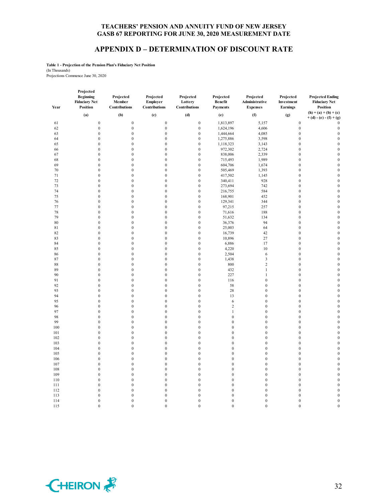#### **APPENDIX D – DETERMINATION OF DISCOUNT RATE**

**Table 1 - Projection of the Pension Plan's Fiduciary Net Position** (In Thousands) Projections Commence June 30, 2020

115 0 0 0 0 0 0 0 0 0 0

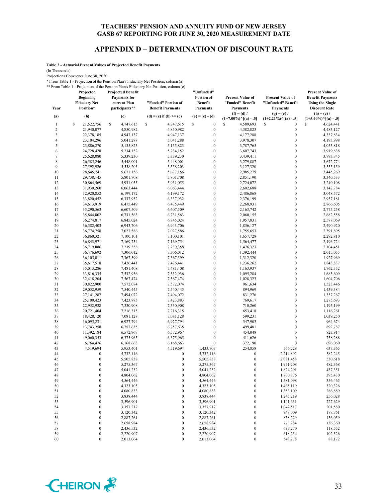## **APPENDIX D – DETERMINATION OF DISCOUNT RATE**

**Table 2 - Actuarial Present Values of Projected Benefit Payments**

(In Thousands)

Projections Commence June 30, 2020

\* From Table 1 - Projection of the Pension Plan's Fiduciary Net Position, column (a) \*\* From Table 1 - Projection of the Pension Plan's Fiduciary Net Position, column (e)

| Year                    | Projected<br><b>Beginning</b><br><b>Fiduciary Net</b><br>Position* | <b>Projected Benefit</b><br><b>Payments</b> for<br>current Plan<br>participants** | "Funded" Portion of<br><b>Benefit Payments</b> | "Unfunded"<br>Portion of<br><b>Benefit</b><br><b>Payments</b> | <b>Present Value of</b><br>"Funded" Benefit<br><b>Payments</b><br>$(f) = (d) /$ | <b>Present Value of</b><br>"Unfunded" Benefit<br><b>Payments</b><br>$(g) = (e) /$ | <b>Present Value of</b><br><b>Benefit Payments</b><br><b>Using the Single</b><br><b>Discount Rate</b><br>$(h) = (c) /$ |
|-------------------------|--------------------------------------------------------------------|-----------------------------------------------------------------------------------|------------------------------------------------|---------------------------------------------------------------|---------------------------------------------------------------------------------|-----------------------------------------------------------------------------------|------------------------------------------------------------------------------------------------------------------------|
| (a)                     | (b)                                                                | (c)                                                                               | (d) = (c) if (b) >= (c)                        | $(e) = (c) - (d)$                                             | $(1+7.00\%)$ <sup>^</sup> [(a) - .5]                                            | $(1+2.21\%)$ <sup>^</sup> [(a) - .5]                                              | $(1+5.40\%)$ <sup>^</sup> [(a) - .5]                                                                                   |
| $\mathbf{1}$            | \$<br>21,522,756                                                   | S<br>4,747,615                                                                    | S<br>4,747,615                                 | \$<br>$\boldsymbol{0}$                                        | S<br>4,589,693                                                                  | \$<br>$\boldsymbol{0}$                                                            | S<br>4,624,441                                                                                                         |
| $\overline{\mathbf{c}}$ | 21,940,077                                                         | 4,850,982                                                                         | 4,850,982                                      | $\boldsymbol{0}$                                              | 4,382,823                                                                       | $\boldsymbol{0}$                                                                  | 4,483,127                                                                                                              |
| 3                       | 22,378,185                                                         | 4,947,137                                                                         | 4,947,137                                      | $\boldsymbol{0}$                                              | 4,177,288                                                                       | $\boldsymbol{0}$                                                                  | 4,337,834                                                                                                              |
| $\overline{4}$          | 23,104,296                                                         | 5,041,288                                                                         | 5,041,288                                      | $\boldsymbol{0}$                                              | 3,978,307                                                                       | $\boldsymbol{0}$                                                                  | 4,193,998                                                                                                              |
| 5                       | 23,886,270                                                         | 5,135,823                                                                         | 5,135,823                                      | $\boldsymbol{0}$                                              | 3,787,765                                                                       | $\mathbf{0}$                                                                      | 4,053,818                                                                                                              |
| 6                       | 24,728,428                                                         | 5,234,152                                                                         | 5,234,152                                      | $\boldsymbol{0}$                                              | 3,607,743                                                                       | $\boldsymbol{0}$                                                                  | 3,919,838                                                                                                              |
| 7                       | 25,628,080                                                         | 5,339,230                                                                         | 5,339,230                                      | $\boldsymbol{0}$                                              | 3,439,411                                                                       | $\boldsymbol{0}$                                                                  | 3,793,745                                                                                                              |
| $\,$ 8 $\,$             | 26,585,246                                                         | 5,448,001                                                                         | 5,448,001                                      | $\boldsymbol{0}$                                              | 3,279,887                                                                       | $\boldsymbol{0}$                                                                  | 3,672,774                                                                                                              |
| 9                       | 27,592,926                                                         | 5,558,203                                                                         | 5,558,203                                      | $\boldsymbol{0}$                                              | 3,127,320                                                                       | $\boldsymbol{0}$                                                                  | 3,555,159                                                                                                              |
| 10                      | 28,645,741                                                         | 5,677,156                                                                         | 5,677,156                                      | $\boldsymbol{0}$                                              | 2,985,279                                                                       | $\boldsymbol{0}$                                                                  | 3,445,269                                                                                                              |
| 11                      | 29,738,145                                                         | 5,801,708                                                                         | 5,801,708                                      | $\boldsymbol{0}$                                              | 2,851,190                                                                       | $\boldsymbol{0}$                                                                  | 3,340,533                                                                                                              |
| 12                      | 30,864,569                                                         | 5,931,055                                                                         | 5,931,055                                      | $\boldsymbol{0}$                                              | 2,724,072                                                                       | $\boldsymbol{0}$                                                                  | 3,240,108                                                                                                              |
| 13                      | 31,930,260                                                         | 6,063,444                                                                         | 6,063,444                                      | $\boldsymbol{0}$                                              | 2,602,688                                                                       | $\boldsymbol{0}$                                                                  | 3,142,784                                                                                                              |
| 14                      | 32,920,852                                                         | 6,199,172                                                                         | 6,199,172                                      | $\boldsymbol{0}$                                              | 2,486,868                                                                       | $\boldsymbol{0}$                                                                  | 3,048,572                                                                                                              |
| 15                      | 33,820,452                                                         | 6,337,932                                                                         | 6,337,932                                      | $\boldsymbol{0}$                                              | 2,376,199                                                                       | $\boldsymbol{0}$                                                                  | 2,957,181                                                                                                              |
| 16                      | 34,613,919                                                         | 6,475,449                                                                         | 6,475,449                                      | $\boldsymbol{0}$                                              | 2,268,931                                                                       | $\boldsymbol{0}$                                                                  | 2,866,605                                                                                                              |
| 17                      | 35,290,563                                                         | 6,607,509                                                                         | 6,607,509                                      | $\boldsymbol{0}$                                              | 2,163,742                                                                       | $\boldsymbol{0}$                                                                  | 2,775,258                                                                                                              |
| 18                      | 35,844,802                                                         | 6,731,563                                                                         | 6,731,563                                      | $\boldsymbol{0}$                                              | 2,060,155                                                                       | $\boldsymbol{0}$                                                                  | 2,682,558                                                                                                              |
| 19                      | 36,274,817                                                         | 6,845,024                                                                         | 6,845,024                                      | $\boldsymbol{0}$                                              | 1,957,831                                                                       | $\boldsymbol{0}$                                                                  | 2,588,069                                                                                                              |
| 20                      | 36,582,403                                                         | 6,943,706                                                                         | 6,943,706                                      | $\boldsymbol{0}$                                              | 1,856,127                                                                       | $\boldsymbol{0}$                                                                  | 2,490,920                                                                                                              |
| 21                      | 36,774,758                                                         | 7,027,586                                                                         | 7,027,586                                      | $\boldsymbol{0}$                                              | 1,755,653                                                                       | $\boldsymbol{0}$                                                                  | 2,391,895                                                                                                              |
| 22                      | 36,860,321                                                         | 7,100,101                                                                         | 7,100,101                                      | $\boldsymbol{0}$                                              | 1,657,728                                                                       | $\boldsymbol{0}$                                                                  | 2,292,810                                                                                                              |
| 23                      | 36,843,971                                                         | 7,169,754                                                                         | 7,169,754                                      | $\boldsymbol{0}$                                              | 1,564,477                                                                       | $\boldsymbol{0}$                                                                  | 2,196,724                                                                                                              |
| 24                      | 36,719,886                                                         | 7,239,358                                                                         | 7,239,358                                      | $\boldsymbol{0}$                                              | 1,476,323                                                                       | $\boldsymbol{0}$                                                                  | 2,104,451                                                                                                              |
| 25                      | 36,476,692                                                         | 7,306,012                                                                         | 7,306,012                                      | $\boldsymbol{0}$                                              | 1,392,444                                                                       | $\boldsymbol{0}$                                                                  | 2,015,055                                                                                                              |
| 26                      | 36,105,011                                                         | 7,367,599                                                                         | 7,367,599                                      | $\boldsymbol{0}$                                              | 1,312,320                                                                       | $\boldsymbol{0}$                                                                  | 1,927,969                                                                                                              |
| 27                      | 35,617,518                                                         | 7,426,441                                                                         | 7,426,441                                      | $\boldsymbol{0}$                                              | 1,236,262                                                                       | $\boldsymbol{0}$                                                                  | 1,843,837                                                                                                              |
| 28                      | 35,013,286                                                         | 7,481,408                                                                         | 7,481,408                                      | $\boldsymbol{0}$                                              | 1,163,937                                                                       | $\boldsymbol{0}$                                                                  | 1,762,352                                                                                                              |
| 29                      | 33,816,335                                                         | 7,532,936                                                                         | 7,532,936                                      | $\boldsymbol{0}$                                              | 1,095,284                                                                       | $\boldsymbol{0}$                                                                  | 1,683,609                                                                                                              |
| 30                      | 32,418,204                                                         | 7,567,474                                                                         | 7,567,474                                      | $\boldsymbol{0}$                                              | 1,028,323                                                                       | $\boldsymbol{0}$                                                                  | 1,604,706                                                                                                              |
| 31                      | 30,822,900                                                         | 7,572,074                                                                         | 7,572,074                                      | $\boldsymbol{0}$                                              | 961,634                                                                         | $\boldsymbol{0}$                                                                  | 1,523,446                                                                                                              |
| 32                      | 29,052,959                                                         | 7,540,445                                                                         | 7,540,445                                      | $\boldsymbol{0}$                                              | 894,969                                                                         | $\boldsymbol{0}$                                                                  | 1,439,384                                                                                                              |
| 33                      | 27, 141, 287                                                       | 7,494,072                                                                         | 7,494,072                                      | $\boldsymbol{0}$                                              | 831,276                                                                         | $\boldsymbol{0}$                                                                  | 1,357,267                                                                                                              |
| 34                      | 25,100,423                                                         | 7,423,883                                                                         | 7,423,883                                      | $\boldsymbol{0}$                                              | 769,617                                                                         | $\boldsymbol{0}$                                                                  | 1,275,693                                                                                                              |
| 35                      | 22,952,938                                                         | 7,330,908                                                                         | 7,330,908                                      | $\boldsymbol{0}$                                              | 710,260                                                                         | $\boldsymbol{0}$                                                                  | 1,195,199                                                                                                              |
| 36                      | 20,721,404                                                         | 7,216,315                                                                         | 7,216,315                                      | $\boldsymbol{0}$                                              | 653,418                                                                         | $\boldsymbol{0}$<br>$\boldsymbol{0}$                                              | 1,116,261                                                                                                              |
| 37                      | 18,428,120                                                         | 7,081,128                                                                         | 7,081,128                                      | $\boldsymbol{0}$                                              | 599,231                                                                         |                                                                                   | 1,039,250                                                                                                              |
| 38<br>39                | 16,095,231                                                         | 6,927,794                                                                         | 6,927,794                                      | $\boldsymbol{0}$<br>$\boldsymbol{0}$                          | 547,903                                                                         | $\boldsymbol{0}$<br>$\boldsymbol{0}$                                              | 964,674                                                                                                                |
| 40                      | 13,743,258<br>11,392,184                                           | 6,757,635<br>6,572,967                                                            | 6,757,635<br>6,572,967                         | $\boldsymbol{0}$                                              | 499,481<br>454,048                                                              | $\boldsymbol{0}$                                                                  | 892,787<br>823,914                                                                                                     |
| 41                      | 9,060,353                                                          | 6,375,965                                                                         | 6,375,965                                      | $\boldsymbol{0}$                                              | 411,626                                                                         | $\boldsymbol{0}$                                                                  | 758,288                                                                                                                |
| 42                      | 6,764,476                                                          | 6,168,663                                                                         | 6,168,663                                      | $\boldsymbol{0}$                                              | 372,190                                                                         | $\mathbf{0}$                                                                      | 696,060                                                                                                                |
| 43                      | 4,519,694                                                          | 5,953,401                                                                         | 4,519,694                                      | 1,433,707                                                     | 254,858                                                                         | 566,228                                                                           | 637,365                                                                                                                |
| 44                      | $\boldsymbol{0}$                                                   | 5,732,116                                                                         | $\boldsymbol{0}$                               | 5,732,116                                                     | $\boldsymbol{0}$                                                                | 2,214,892                                                                         | 582,245                                                                                                                |
| 45                      | $\mathbf{0}$                                                       | 5,505,838                                                                         | $\boldsymbol{0}$                               | 5,505,838                                                     | $\boldsymbol{0}$                                                                | 2,081,458                                                                         | 530,618                                                                                                                |
| 46                      | $\mathbf{0}$                                                       | 5,275,367                                                                         | 0                                              | 5,275,367                                                     | $\boldsymbol{0}$                                                                | 1,951,208                                                                         | 482,368                                                                                                                |
| 47                      | $\overline{0}$                                                     | 5,041,232                                                                         | $\theta$                                       | 5,041,232                                                     | $\mathbf{0}$                                                                    | 1,824,291                                                                         | 437,351                                                                                                                |
| 48                      | $\boldsymbol{0}$                                                   | 4,804,062                                                                         | 0                                              | 4,804,062                                                     | $\boldsymbol{0}$                                                                | 1,700,876                                                                         | 395,430                                                                                                                |
| 49                      | $\boldsymbol{0}$                                                   | 4,564,446                                                                         | 0                                              | 4,564,446                                                     | $\boldsymbol{0}$                                                                | 1,581,098                                                                         | 356,465                                                                                                                |
| 50                      | $\boldsymbol{0}$                                                   | 4,323,105                                                                         | $\boldsymbol{0}$                               | 4,323,105                                                     | $\boldsymbol{0}$                                                                | 1,465,119                                                                         | 320,326                                                                                                                |
| 51                      | $\boldsymbol{0}$                                                   | 4,080,833                                                                         | $\boldsymbol{0}$                               | 4,080,833                                                     | $\boldsymbol{0}$                                                                | 1,353,109                                                                         | 286,889                                                                                                                |
| 52                      | 0                                                                  | 3,838,444                                                                         | 0                                              | 3,838,444                                                     | $\boldsymbol{0}$                                                                | 1,245,219                                                                         | 256,028                                                                                                                |
| 53                      | $\boldsymbol{0}$                                                   | 3,596,901                                                                         | 0                                              | 3,596,901                                                     | $\boldsymbol{0}$                                                                | 1,141,631                                                                         | 227,629                                                                                                                |
| 54                      | $\boldsymbol{0}$                                                   | 3,357,217                                                                         | 0                                              | 3,357,217                                                     | $\boldsymbol{0}$                                                                | 1,042,517                                                                         | 201,580                                                                                                                |
| 55                      | $\boldsymbol{0}$                                                   | 3,120,342                                                                         | 0                                              | 3,120,342                                                     | $\boldsymbol{0}$                                                                | 948,009                                                                           | 177,761                                                                                                                |
| 56                      | $\boldsymbol{0}$                                                   | 2,887,261                                                                         | 0                                              | 2,887,261                                                     | $\boldsymbol{0}$                                                                | 858,229                                                                           | 156,059                                                                                                                |
| 57                      | $\boldsymbol{0}$                                                   | 2,658,984                                                                         | 0                                              | 2,658,984                                                     | $\boldsymbol{0}$                                                                | 773,284                                                                           | 136,360                                                                                                                |
| 58                      | $\boldsymbol{0}$                                                   | 2,436,532                                                                         | $\boldsymbol{0}$                               | 2,436,532                                                     | $\boldsymbol{0}$                                                                | 693,270                                                                           | 118,552                                                                                                                |
| 59                      | $\boldsymbol{0}$                                                   | 2,220,907                                                                         | $\boldsymbol{0}$                               | 2,220,907                                                     | $\boldsymbol{0}$                                                                | 618,254                                                                           | 102,526                                                                                                                |
| 60                      | $\boldsymbol{0}$                                                   | 2,013,064                                                                         | $\boldsymbol{0}$                               | 2,013,064                                                     | $\boldsymbol{0}$                                                                | 548,278                                                                           | 88,172                                                                                                                 |

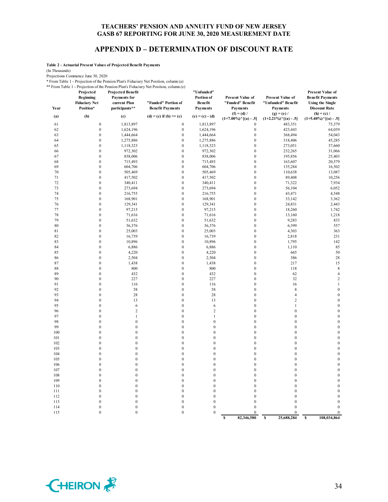## **APPENDIX D – DETERMINATION OF DISCOUNT RATE**

**Table 2 - Actuarial Present Values of Projected Benefit Payments**

(In Thousands)

Projections Commence June 30, 2020

\* From Table 1 - Projection of the Pension Plan's Fiduciary Net Position, column (a) \*\* From Table 1 - Projection of the Pension Plan's Fiduciary Net Position, column (e)

| Year     | Projected<br><b>Beginning</b><br><b>Fiduciary Net</b><br>Position* | <b>Projected Benefit</b><br>Payments for<br>current Plan<br>participants** | "Funded" Portion of<br><b>Benefit Payments</b> | "Unfunded"<br>Portion of<br>Benefit<br><b>Payments</b> | <b>Present Value of</b><br>"Funded" Benefit<br><b>Payments</b> | Present Value of<br>"Unfunded" Benefit<br><b>Payments</b> | <b>Present Value of</b><br><b>Benefit Payments</b><br><b>Using the Single</b><br><b>Discount Rate</b> |
|----------|--------------------------------------------------------------------|----------------------------------------------------------------------------|------------------------------------------------|--------------------------------------------------------|----------------------------------------------------------------|-----------------------------------------------------------|-------------------------------------------------------------------------------------------------------|
| (a)      | (b)                                                                | (c)                                                                        | $(d) = (c)$ if $(b) \geq (c)$                  | $(e) = (c) - (d)$                                      | $(f) = (d) /$<br>$(1+7.00\%)$ <sup>^</sup> [(a) - .5]          | $(g) = (e) /$<br>$(1+2.21\%)$ <sup>^</sup> [(a) - .5]     | $(h) = (c) /$<br>$(1+5.40\%)$ <sup>^</sup> [(a) - .5]                                                 |
| 61       | $\boldsymbol{0}$                                                   | 1,813,897                                                                  | $\boldsymbol{0}$                               | 1,813,897                                              | $\boldsymbol{0}$                                               | 483,351                                                   | 75,379                                                                                                |
| 62       | $\boldsymbol{0}$                                                   | 1,624,196                                                                  | $\boldsymbol{0}$                               | 1,624,196                                              | $\boldsymbol{0}$                                               | 423,443                                                   | 64,039                                                                                                |
| 63       | $\boldsymbol{0}$                                                   | 1,444,664                                                                  | $\boldsymbol{0}$                               | 1,444,664                                              | $\boldsymbol{0}$                                               | 368,494                                                   | 54,043                                                                                                |
| 64       | $\boldsymbol{0}$                                                   | 1,275,886                                                                  | $\boldsymbol{0}$                               | 1,275,886                                              | $\boldsymbol{0}$                                               | 318,406                                                   | 45,285                                                                                                |
| 65       | $\boldsymbol{0}$                                                   | 1,118,323                                                                  | $\boldsymbol{0}$                               | 1,118,323                                              | $\boldsymbol{0}$                                               | 273,051                                                   | 37,660                                                                                                |
| 66       | $\mathbf{0}$                                                       | 972,302                                                                    | $\boldsymbol{0}$                               | 972,302                                                | $\boldsymbol{0}$                                               | 232,265                                                   | 31,066                                                                                                |
| 67       | $\mathbf{0}$                                                       | 838,006                                                                    | $\boldsymbol{0}$                               | 838,006                                                | $\boldsymbol{0}$                                               | 195,856                                                   | 25,403                                                                                                |
| 68       | $\boldsymbol{0}$                                                   | 715,493                                                                    | $\boldsymbol{0}$                               | 715,493                                                | $\boldsymbol{0}$                                               | 163,607                                                   | 20,579                                                                                                |
| 69       | $\mathbf{0}$                                                       | 604,706                                                                    | $\boldsymbol{0}$                               | 604,706                                                | $\boldsymbol{0}$                                               | 135,284                                                   | 16,502                                                                                                |
| 70       | $\mathbf{0}$                                                       | 505,469                                                                    | $\mathbf{0}$                                   | 505,469                                                | $\mathbf{0}$                                                   | 110,638                                                   | 13,087                                                                                                |
| 71       | $\boldsymbol{0}$                                                   | 417,502                                                                    | $\boldsymbol{0}$                               | 417,502                                                | $\boldsymbol{0}$                                               | 89,408                                                    | 10,256                                                                                                |
| 72       | $\boldsymbol{0}$                                                   | 340,411                                                                    | $\boldsymbol{0}$                               | 340,411                                                | $\boldsymbol{0}$                                               | 71,322                                                    | 7,934                                                                                                 |
| 73       | $\boldsymbol{0}$                                                   | 273,694                                                                    | $\boldsymbol{0}$                               | 273,694                                                | $\boldsymbol{0}$                                               | 56,104                                                    | 6,052                                                                                                 |
| 74       | $\boldsymbol{0}$                                                   | 216,755                                                                    | $\boldsymbol{0}$                               | 216,755                                                | $\boldsymbol{0}$                                               | 43,471                                                    | 4,548                                                                                                 |
| 75       | $\boldsymbol{0}$                                                   | 168,901                                                                    | $\boldsymbol{0}$                               | 168,901                                                | $\boldsymbol{0}$                                               | 33,142                                                    | 3,362                                                                                                 |
| 76       | $\boldsymbol{0}$                                                   | 129,341                                                                    | $\boldsymbol{0}$                               | 129,341                                                | $\boldsymbol{0}$                                               | 24,831                                                    | 2,443                                                                                                 |
| 77       | $\overline{0}$                                                     | 97,215                                                                     | $\boldsymbol{0}$                               | 97,215                                                 | $\mathbf{0}$                                                   | 18,260                                                    | 1,742                                                                                                 |
| 78       | $\boldsymbol{0}$                                                   | 71,616                                                                     | $\boldsymbol{0}$                               | 71,616                                                 | $\boldsymbol{0}$                                               | 13,160                                                    | 1,218                                                                                                 |
| 79       | $\boldsymbol{0}$                                                   | 51,632                                                                     | $\boldsymbol{0}$                               | 51,632                                                 | $\boldsymbol{0}$                                               | 9,283                                                     | 833                                                                                                   |
| 80       | $\boldsymbol{0}$                                                   | 36,376                                                                     | $\boldsymbol{0}$                               | 36,376                                                 | $\boldsymbol{0}$                                               | 6,399                                                     | 557                                                                                                   |
| 81<br>82 | $\overline{0}$<br>$\boldsymbol{0}$                                 | 25,003                                                                     | $\mathbf{0}$<br>$\boldsymbol{0}$               | 25,003                                                 | $\mathbf{0}$<br>$\boldsymbol{0}$                               | 4,303                                                     | 363                                                                                                   |
| 83       | $\boldsymbol{0}$                                                   | 16,739                                                                     | $\boldsymbol{0}$                               | 16,739                                                 | $\boldsymbol{0}$                                               | 2,818                                                     | 231<br>142                                                                                            |
| 84       | $\mathbf{0}$                                                       | 10,896<br>6,886                                                            | $\boldsymbol{0}$                               | 10,896<br>6,886                                        | $\boldsymbol{0}$                                               | 1,795                                                     | 85                                                                                                    |
| 85       | $\overline{0}$                                                     | 4,220                                                                      | $\mathbf{0}$                                   | 4,220                                                  | $\mathbf{0}$                                                   | 1,110<br>665                                              | 50                                                                                                    |
| 86       | $\mathbf{0}$                                                       | 2,504                                                                      | $\boldsymbol{0}$                               | 2,504                                                  | $\boldsymbol{0}$                                               | 386                                                       | 28                                                                                                    |
| 87       | $\mathbf{0}$                                                       | 1,438                                                                      | $\boldsymbol{0}$                               | 1,438                                                  | $\boldsymbol{0}$                                               | 217                                                       | 15                                                                                                    |
| 88       | $\mathbf{0}$                                                       | 800                                                                        | $\boldsymbol{0}$                               | 800                                                    | $\mathbf{0}$                                                   | 118                                                       | $\,$ 8 $\,$                                                                                           |
| 89       | $\overline{0}$                                                     | 432                                                                        | $\boldsymbol{0}$                               | 432                                                    | $\boldsymbol{0}$                                               | 62                                                        | $\overline{4}$                                                                                        |
| 90       | $\overline{0}$                                                     | 227                                                                        | $\boldsymbol{0}$                               | 227                                                    | $\boldsymbol{0}$                                               | 32                                                        | $\sqrt{2}$                                                                                            |
| 91       | $\boldsymbol{0}$                                                   | 116                                                                        | $\boldsymbol{0}$                               | 116                                                    | $\boldsymbol{0}$                                               | 16                                                        | $\mathbf{1}$                                                                                          |
| 92       | $\overline{0}$                                                     | 58                                                                         | $\boldsymbol{0}$                               | 58                                                     | $\mathbf{0}$                                                   | $\,$ 8 $\,$                                               | $\mathbf{0}$                                                                                          |
| 93       | $\boldsymbol{0}$                                                   | 28                                                                         | $\boldsymbol{0}$                               | 28                                                     | $\boldsymbol{0}$                                               | $\overline{4}$                                            | $\mathbf{0}$                                                                                          |
| 94       | $\mathbf{0}$                                                       | 13                                                                         | $\boldsymbol{0}$                               | 13                                                     | $\boldsymbol{0}$                                               | $\overline{c}$                                            | $\mathbf{0}$                                                                                          |
| 95       | $\boldsymbol{0}$                                                   | 6                                                                          | $\boldsymbol{0}$                               | 6                                                      | $\boldsymbol{0}$                                               | $\mathbf{1}$                                              | $\mathbf{0}$                                                                                          |
| 96       | $\overline{0}$                                                     | $\overline{2}$                                                             | $\boldsymbol{0}$                               | $\overline{2}$                                         | $\mathbf{0}$                                                   | $\boldsymbol{0}$                                          | $\overline{0}$                                                                                        |
| 97       | $\mathbf{0}$                                                       | $\mathbf{1}$                                                               | $\boldsymbol{0}$                               | $\mathbf{1}$                                           | $\mathbf{0}$                                                   | $\boldsymbol{0}$                                          | $\mathbf{0}$                                                                                          |
| 98       | $\mathbf{0}$                                                       | $\mathbf{0}$                                                               | $\boldsymbol{0}$                               | $\mathbf{0}$                                           | $\boldsymbol{0}$                                               | $\boldsymbol{0}$                                          | $\mathbf{0}$                                                                                          |
| 99       | $\mathbf{0}$                                                       | $\boldsymbol{0}$                                                           | $\boldsymbol{0}$                               | $\boldsymbol{0}$                                       | $\boldsymbol{0}$                                               | $\boldsymbol{0}$                                          | $\mathbf{0}$                                                                                          |
| 100      | $\mathbf{0}$                                                       | $\mathbf{0}$                                                               | $\boldsymbol{0}$                               | $\boldsymbol{0}$                                       | $\boldsymbol{0}$                                               | $\boldsymbol{0}$                                          | $\overline{0}$                                                                                        |
| 101      | $\overline{0}$                                                     | $\mathbf{0}$                                                               | $\boldsymbol{0}$                               | $\boldsymbol{0}$                                       | $\boldsymbol{0}$                                               | $\boldsymbol{0}$                                          | $\mathbf{0}$                                                                                          |
| 102      | $\overline{0}$                                                     | $\mathbf{0}$                                                               | $\boldsymbol{0}$                               | $\boldsymbol{0}$                                       | $\boldsymbol{0}$                                               | $\boldsymbol{0}$                                          | $\mathbf{0}$                                                                                          |
| 103      | $\overline{0}$                                                     | $\mathbf{0}$                                                               | $\mathbf{0}$                                   | $\mathbf{0}$                                           | $\mathbf{0}$                                                   | $\mathbf{0}$                                              | $\mathbf{0}$                                                                                          |
| 104      | $\mathbf{0}$                                                       | $\mathbf{0}$                                                               | $\boldsymbol{0}$                               | $\boldsymbol{0}$                                       | $\boldsymbol{0}$                                               | $\boldsymbol{0}$                                          | $\mathbf{0}$                                                                                          |
| 105      | $\overline{0}$                                                     | $\mathbf{0}$                                                               | $\boldsymbol{0}$                               | $\boldsymbol{0}$                                       | $\boldsymbol{0}$                                               | $\boldsymbol{0}$                                          | $\mathbf{0}$                                                                                          |
| 106      | $\boldsymbol{0}$                                                   | $\mathbf{0}$                                                               | $\boldsymbol{0}$                               | $\boldsymbol{0}$                                       | $\boldsymbol{0}$                                               | $\boldsymbol{0}$                                          | $\theta$                                                                                              |
| 107      | $\overline{0}$                                                     | $\mathbf{0}$                                                               | $\boldsymbol{0}$                               | $\mathbf{0}$                                           | $\mathbf{0}$                                                   | $\mathbf{0}$                                              | $\mathbf{0}$                                                                                          |
| 108      | $\boldsymbol{0}$                                                   | $\boldsymbol{0}$                                                           | $\boldsymbol{0}$                               | $\boldsymbol{0}$                                       | $\boldsymbol{0}$                                               | $\boldsymbol{0}$                                          | $\mathbf{0}$                                                                                          |
| 109      | $\mathbf{0}$                                                       | $\mathbf{0}$                                                               | $\boldsymbol{0}$                               | $\boldsymbol{0}$                                       | $\boldsymbol{0}$                                               | $\boldsymbol{0}$                                          | $\boldsymbol{0}$                                                                                      |
| 110      | $\boldsymbol{0}$                                                   | $\boldsymbol{0}$                                                           | $\boldsymbol{0}$                               | $\boldsymbol{0}$                                       | $\boldsymbol{0}$                                               | $\boldsymbol{0}$                                          | $\mathbf{0}$                                                                                          |
| 111      | $\mathbf{0}$                                                       | $\mathbf{0}$                                                               | $\boldsymbol{0}$                               | $\mathbf{0}$                                           | $\mathbf{0}$                                                   | $\mathbf{0}$                                              | $\mathbf{0}$                                                                                          |
| 112      | $\overline{0}$                                                     | $\mathbf{0}$                                                               | $\boldsymbol{0}$                               | $\boldsymbol{0}$                                       | $\mathbf{0}$                                                   | $\boldsymbol{0}$                                          | $\boldsymbol{0}$                                                                                      |
| 113      | $\mathbf{0}$                                                       | $\boldsymbol{0}$                                                           | $\boldsymbol{0}$                               | $\boldsymbol{0}$                                       | $\boldsymbol{0}$                                               | $\boldsymbol{0}$                                          | $\mathbf{0}$                                                                                          |
| 114      | $\overline{0}$                                                     | $\mathbf{0}$                                                               | $\mathbf{0}$                                   | $\mathbf{0}$                                           | $\mathbf{0}$                                                   | $\mathbf{0}$                                              | $\mathbf{0}$                                                                                          |
| 115      | $\mathbf{0}$                                                       | $\theta$                                                                   | $\mathbf{0}$                                   | $\mathbf{0}$                                           | $\theta$                                                       | $\theta$                                                  | $\mathbf{0}$                                                                                          |

**82,346,580 8 82,346,580 8 82,5688,284 8 8 108,034,864** 

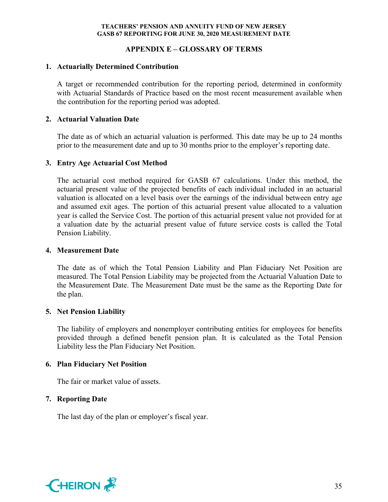## **APPENDIX E – GLOSSARY OF TERMS**

## **1. Actuarially Determined Contribution**

A target or recommended contribution for the reporting period, determined in conformity with Actuarial Standards of Practice based on the most recent measurement available when the contribution for the reporting period was adopted.

#### **2. Actuarial Valuation Date**

The date as of which an actuarial valuation is performed. This date may be up to 24 months prior to the measurement date and up to 30 months prior to the employer's reporting date.

#### **3. Entry Age Actuarial Cost Method**

The actuarial cost method required for GASB 67 calculations. Under this method, the actuarial present value of the projected benefits of each individual included in an actuarial valuation is allocated on a level basis over the earnings of the individual between entry age and assumed exit ages. The portion of this actuarial present value allocated to a valuation year is called the Service Cost. The portion of this actuarial present value not provided for at a valuation date by the actuarial present value of future service costs is called the Total Pension Liability.

#### **4. Measurement Date**

The date as of which the Total Pension Liability and Plan Fiduciary Net Position are measured. The Total Pension Liability may be projected from the Actuarial Valuation Date to the Measurement Date. The Measurement Date must be the same as the Reporting Date for the plan.

## **5. Net Pension Liability**

The liability of employers and nonemployer contributing entities for employees for benefits provided through a defined benefit pension plan. It is calculated as the Total Pension Liability less the Plan Fiduciary Net Position.

## **6. Plan Fiduciary Net Position**

The fair or market value of assets.

## **7. Reporting Date**

The last day of the plan or employer's fiscal year.